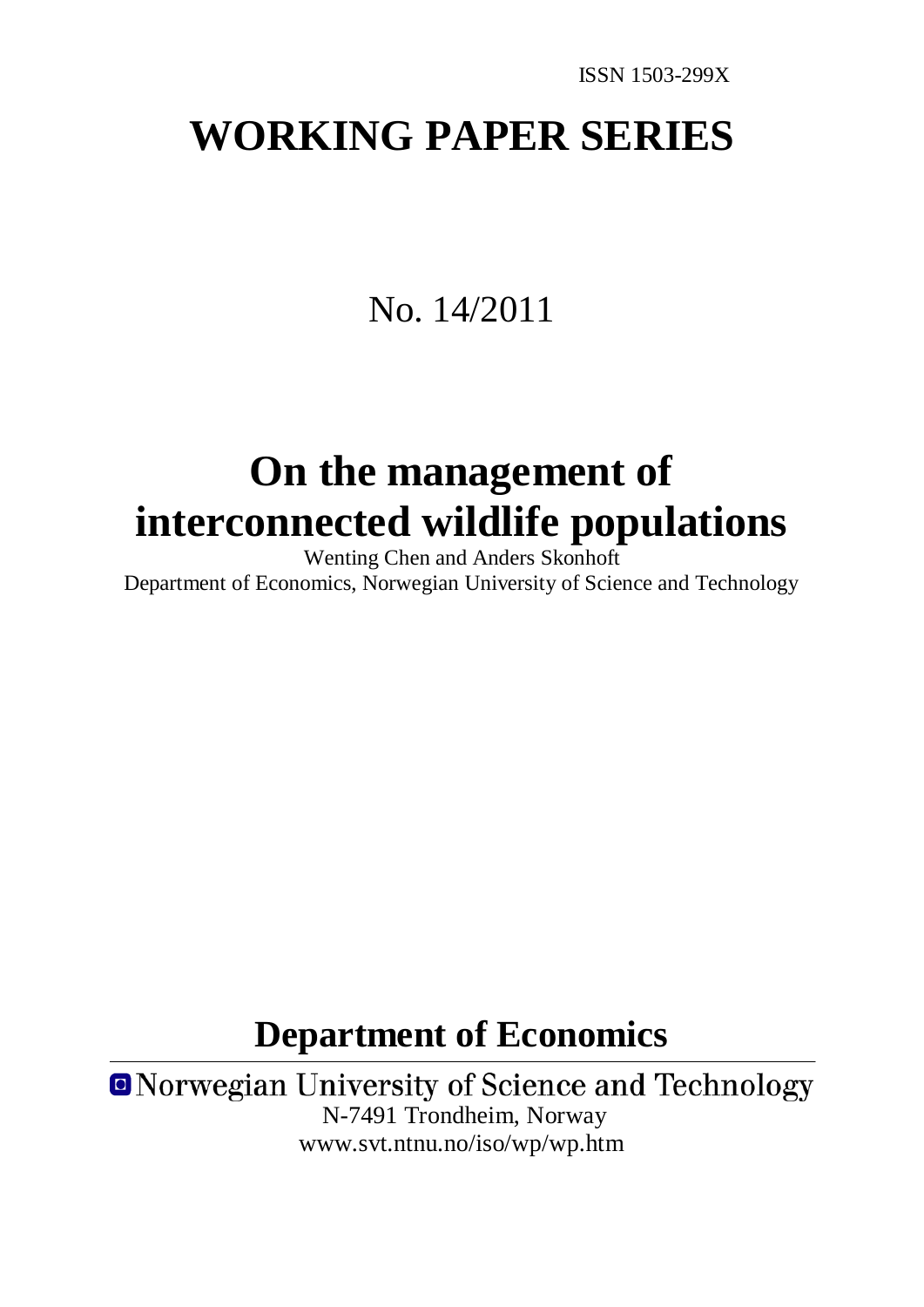# **WORKING PAPER SERIES**

## No. 14/2011

# **On the management of interconnected wildlife populations**

Wenting Chen and Anders Skonhoft Department of Economics, Norwegian University of Science and Technology

## **Department of Economics**

**ONorwegian University of Science and Technology** N-7491 Trondheim, Norway www.svt.ntnu.no/iso/wp/wp.htm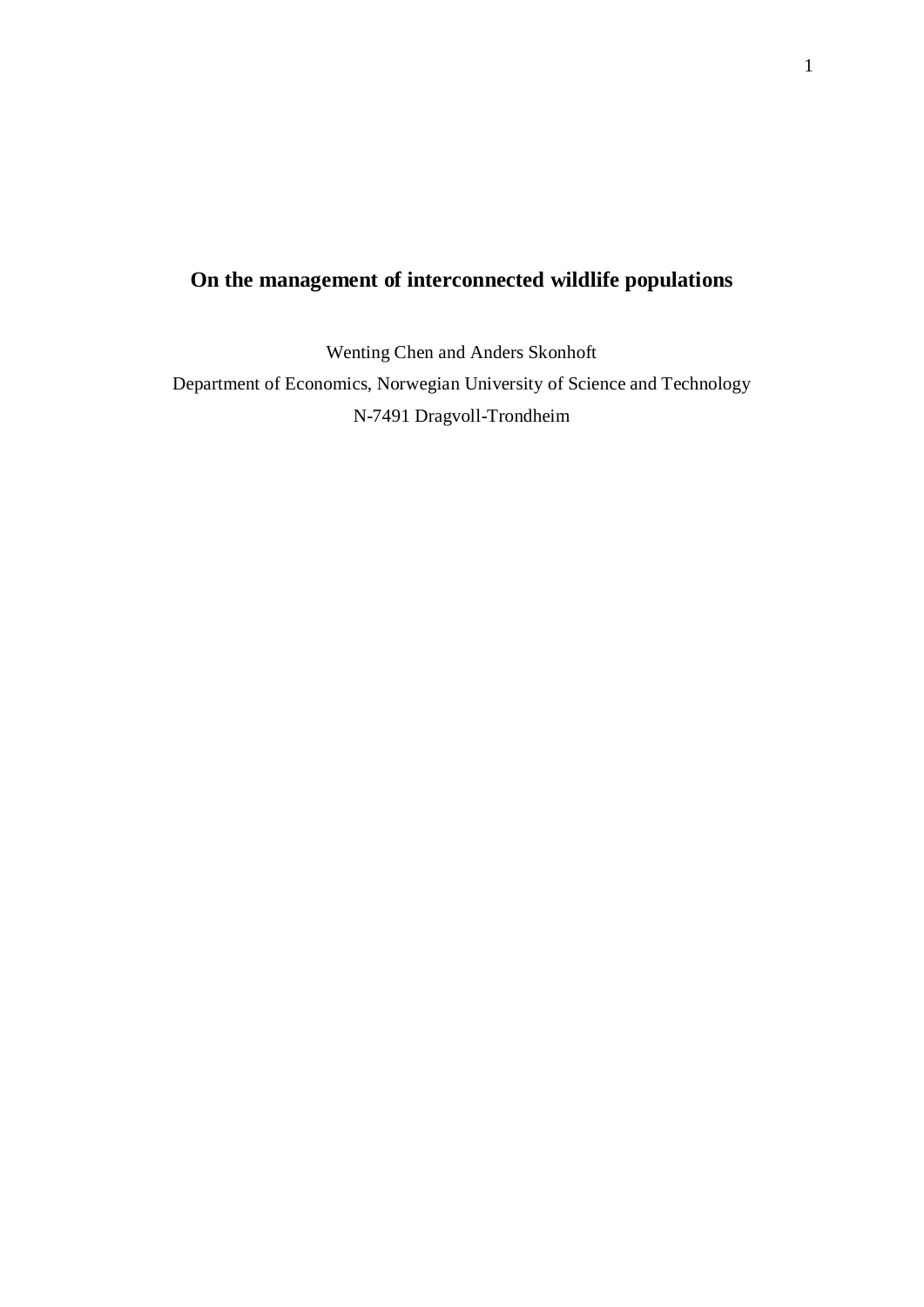## **On the management of interconnected wildlife populations**

Wenting Chen and Anders Skonhoft Department of Economics, Norwegian University of Science and Technology N-7491 Dragvoll-Trondheim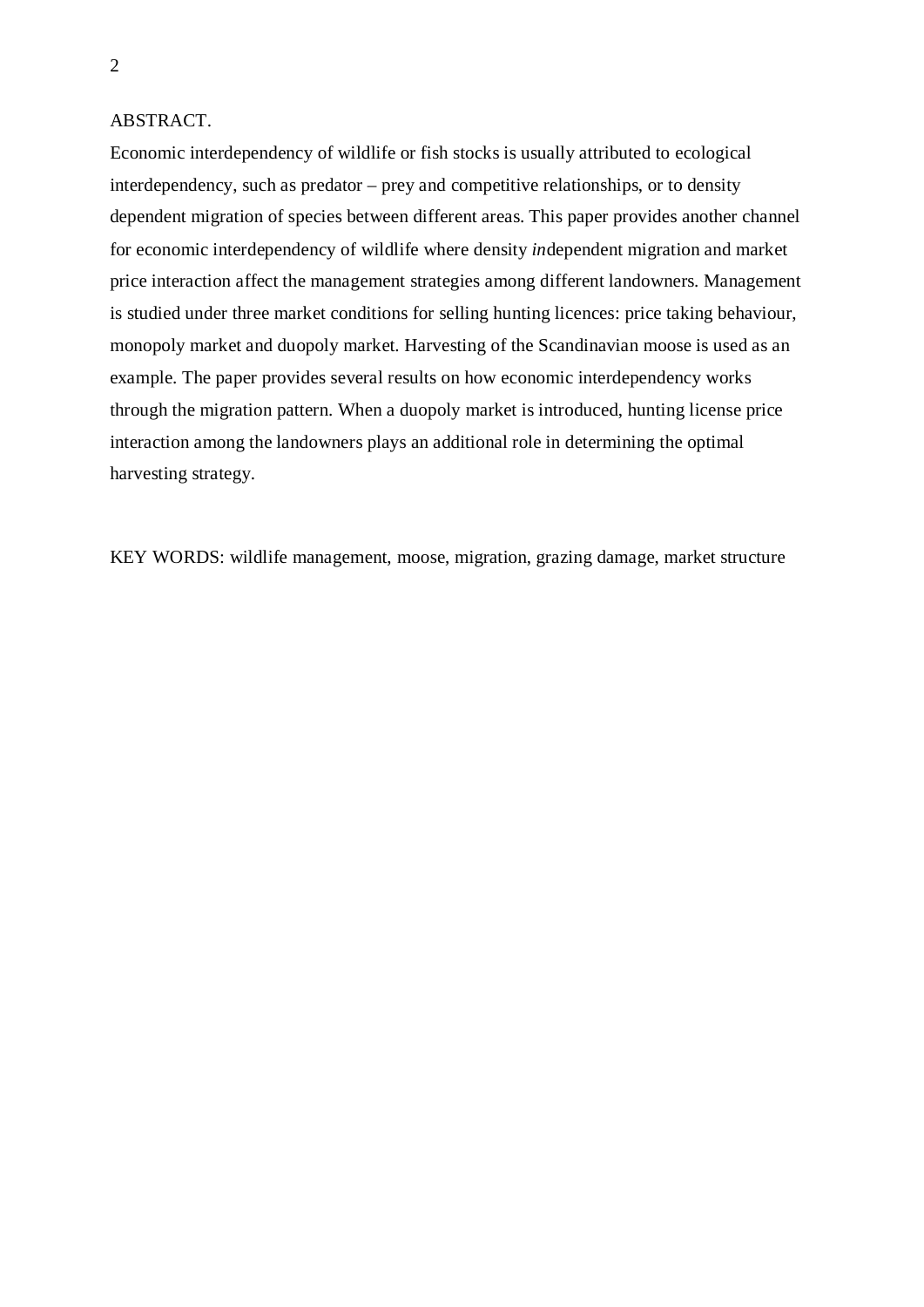## ABSTRACT.

Economic interdependency of wildlife or fish stocks is usually attributed to ecological interdependency, such as predator – prey and competitive relationships, or to density dependent migration of species between different areas. This paper provides another channel for economic interdependency of wildlife where density *in*dependent migration and market price interaction affect the management strategies among different landowners. Management is studied under three market conditions for selling hunting licences: price taking behaviour, monopoly market and duopoly market. Harvesting of the Scandinavian moose is used as an example. The paper provides several results on how economic interdependency works through the migration pattern. When a duopoly market is introduced, hunting license price interaction among the landowners plays an additional role in determining the optimal harvesting strategy.

KEY WORDS: wildlife management, moose, migration, grazing damage, market structure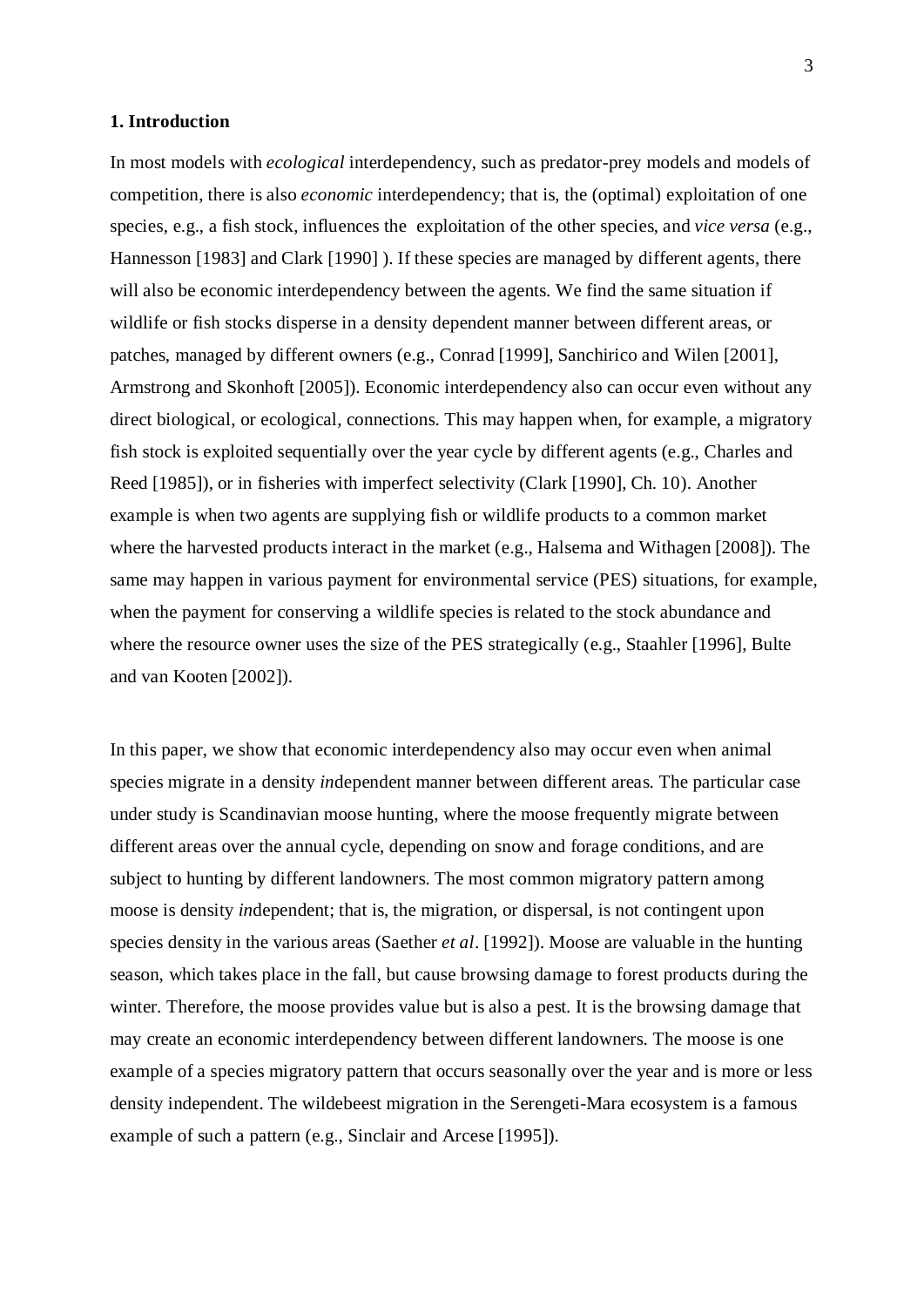## **1. Introduction**

In most models with *ecological* interdependency, such as predator-prey models and models of competition, there is also *economic* interdependency; that is, the (optimal) exploitation of one species, e.g., a fish stock, influences the exploitation of the other species, and *vice versa* (e.g., Hannesson [1983] and Clark [1990] ). If these species are managed by different agents, there will also be economic interdependency between the agents. We find the same situation if wildlife or fish stocks disperse in a density dependent manner between different areas, or patches, managed by different owners (e.g., Conrad [1999], Sanchirico and Wilen [2001], Armstrong and Skonhoft [2005]). Economic interdependency also can occur even without any direct biological, or ecological, connections. This may happen when, for example, a migratory fish stock is exploited sequentially over the year cycle by different agents (e.g., Charles and Reed [1985]), or in fisheries with imperfect selectivity (Clark [1990], Ch. 10). Another example is when two agents are supplying fish or wildlife products to a common market where the harvested products interact in the market (e.g., Halsema and Withagen [2008]). The same may happen in various payment for environmental service (PES) situations, for example, when the payment for conserving a wildlife species is related to the stock abundance and where the resource owner uses the size of the PES strategically (e.g., Staahler [1996], Bulte and van Kooten [2002]).

In this paper, we show that economic interdependency also may occur even when animal species migrate in a density *in*dependent manner between different areas. The particular case under study is Scandinavian moose hunting, where the moose frequently migrate between different areas over the annual cycle, depending on snow and forage conditions, and are subject to hunting by different landowners. The most common migratory pattern among moose is density *in*dependent; that is, the migration, or dispersal, is not contingent upon species density in the various areas (Saether *et al*. [1992]). Moose are valuable in the hunting season, which takes place in the fall, but cause browsing damage to forest products during the winter. Therefore, the moose provides value but is also a pest. It is the browsing damage that may create an economic interdependency between different landowners. The moose is one example of a species migratory pattern that occurs seasonally over the year and is more or less density independent. The wildebeest migration in the Serengeti-Mara ecosystem is a famous example of such a pattern (e.g., Sinclair and Arcese [1995]).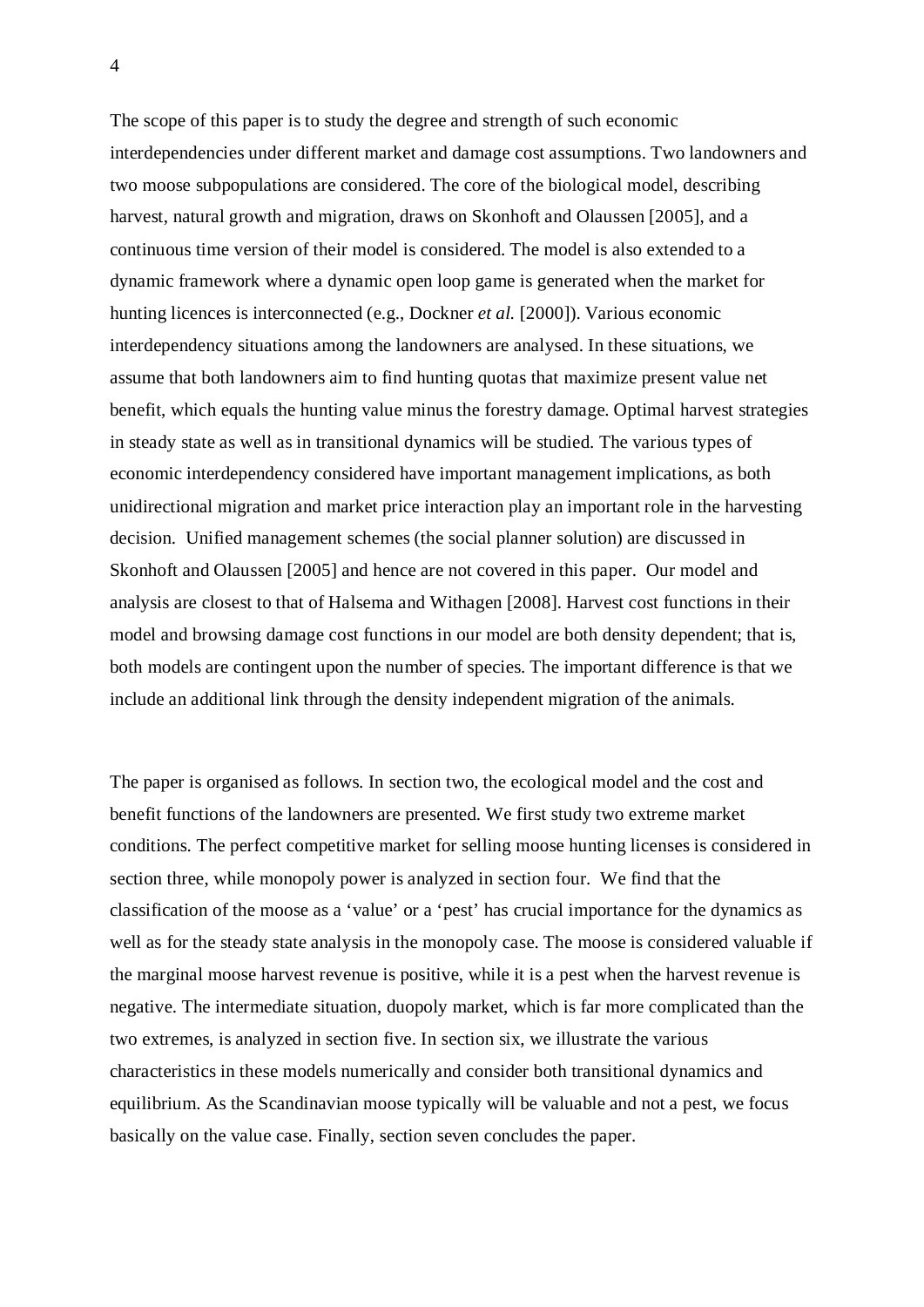The scope of this paper is to study the degree and strength of such economic interdependencies under different market and damage cost assumptions. Two landowners and two moose subpopulations are considered. The core of the biological model, describing harvest, natural growth and migration, draws on Skonhoft and Olaussen [2005], and a continuous time version of their model is considered. The model is also extended to a dynamic framework where a dynamic open loop game is generated when the market for hunting licences is interconnected (e.g., Dockner *et al.* [2000]). Various economic interdependency situations among the landowners are analysed. In these situations, we assume that both landowners aim to find hunting quotas that maximize present value net benefit, which equals the hunting value minus the forestry damage. Optimal harvest strategies in steady state as well as in transitional dynamics will be studied. The various types of economic interdependency considered have important management implications, as both unidirectional migration and market price interaction play an important role in the harvesting decision. Unified management schemes (the social planner solution) are discussed in Skonhoft and Olaussen [2005] and hence are not covered in this paper. Our model and analysis are closest to that of Halsema and Withagen [2008]. Harvest cost functions in their model and browsing damage cost functions in our model are both density dependent; that is, both models are contingent upon the number of species. The important difference is that we include an additional link through the density independent migration of the animals.

The paper is organised as follows. In section two, the ecological model and the cost and benefit functions of the landowners are presented. We first study two extreme market conditions. The perfect competitive market for selling moose hunting licenses is considered in section three, while monopoly power is analyzed in section four. We find that the classification of the moose as a 'value' or a 'pest' has crucial importance for the dynamics as well as for the steady state analysis in the monopoly case. The moose is considered valuable if the marginal moose harvest revenue is positive, while it is a pest when the harvest revenue is negative. The intermediate situation, duopoly market, which is far more complicated than the two extremes, is analyzed in section five. In section six, we illustrate the various characteristics in these models numerically and consider both transitional dynamics and equilibrium. As the Scandinavian moose typically will be valuable and not a pest, we focus basically on the value case. Finally, section seven concludes the paper.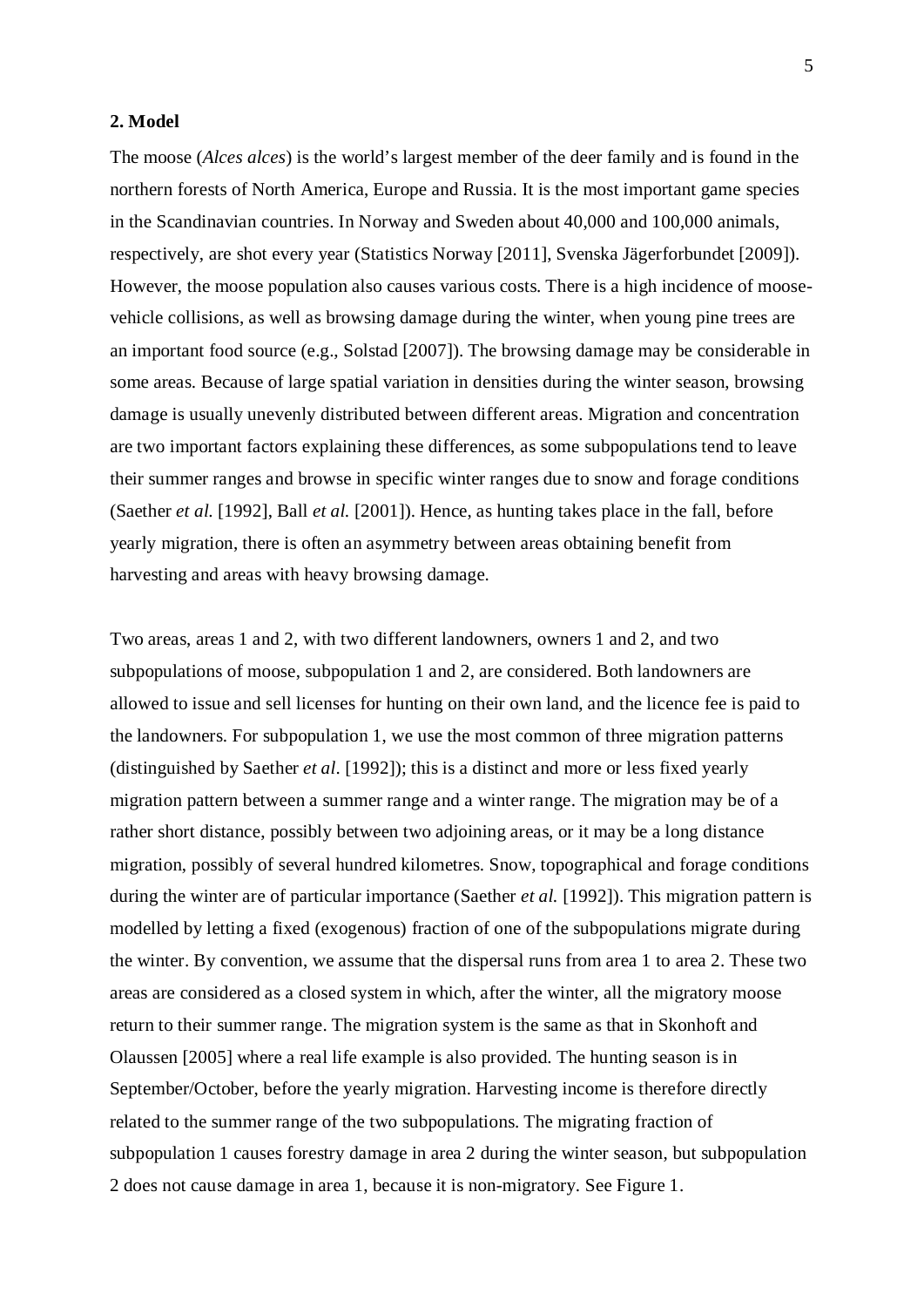## **2. Model**

The moose (*Alces alces*) is the world's largest member of the deer family and is found in the northern forests of North America, Europe and Russia. It is the most important game species in the Scandinavian countries. In Norway and Sweden about 40,000 and 100,000 animals, respectively, are shot every year (Statistics Norway [2011], Svenska Jägerforbundet [2009]). However, the moose population also causes various costs. There is a high incidence of moosevehicle collisions, as well as browsing damage during the winter, when young pine trees are an important food source (e.g., Solstad [2007]). The browsing damage may be considerable in some areas. Because of large spatial variation in densities during the winter season, browsing damage is usually unevenly distributed between different areas. Migration and concentration are two important factors explaining these differences, as some subpopulations tend to leave their summer ranges and browse in specific winter ranges due to snow and forage conditions (Saether *et al.* [1992], Ball *et al.* [2001]). Hence, as hunting takes place in the fall, before yearly migration, there is often an asymmetry between areas obtaining benefit from harvesting and areas with heavy browsing damage.

Two areas, areas 1 and 2, with two different landowners, owners 1 and 2, and two subpopulations of moose, subpopulation 1 and 2, are considered. Both landowners are allowed to issue and sell licenses for hunting on their own land, and the licence fee is paid to the landowners. For subpopulation 1, we use the most common of three migration patterns (distinguished by Saether *et al.* [1992]); this is a distinct and more or less fixed yearly migration pattern between a summer range and a winter range. The migration may be of a rather short distance, possibly between two adjoining areas, or it may be a long distance migration, possibly of several hundred kilometres. Snow, topographical and forage conditions during the winter are of particular importance (Saether *et al.* [1992]). This migration pattern is modelled by letting a fixed (exogenous) fraction of one of the subpopulations migrate during the winter. By convention, we assume that the dispersal runs from area 1 to area 2. These two areas are considered as a closed system in which, after the winter, all the migratory moose return to their summer range. The migration system is the same as that in Skonhoft and Olaussen [2005] where a real life example is also provided. The hunting season is in September/October, before the yearly migration. Harvesting income is therefore directly related to the summer range of the two subpopulations. The migrating fraction of subpopulation 1 causes forestry damage in area 2 during the winter season, but subpopulation 2 does not cause damage in area 1, because it is non-migratory. See Figure 1.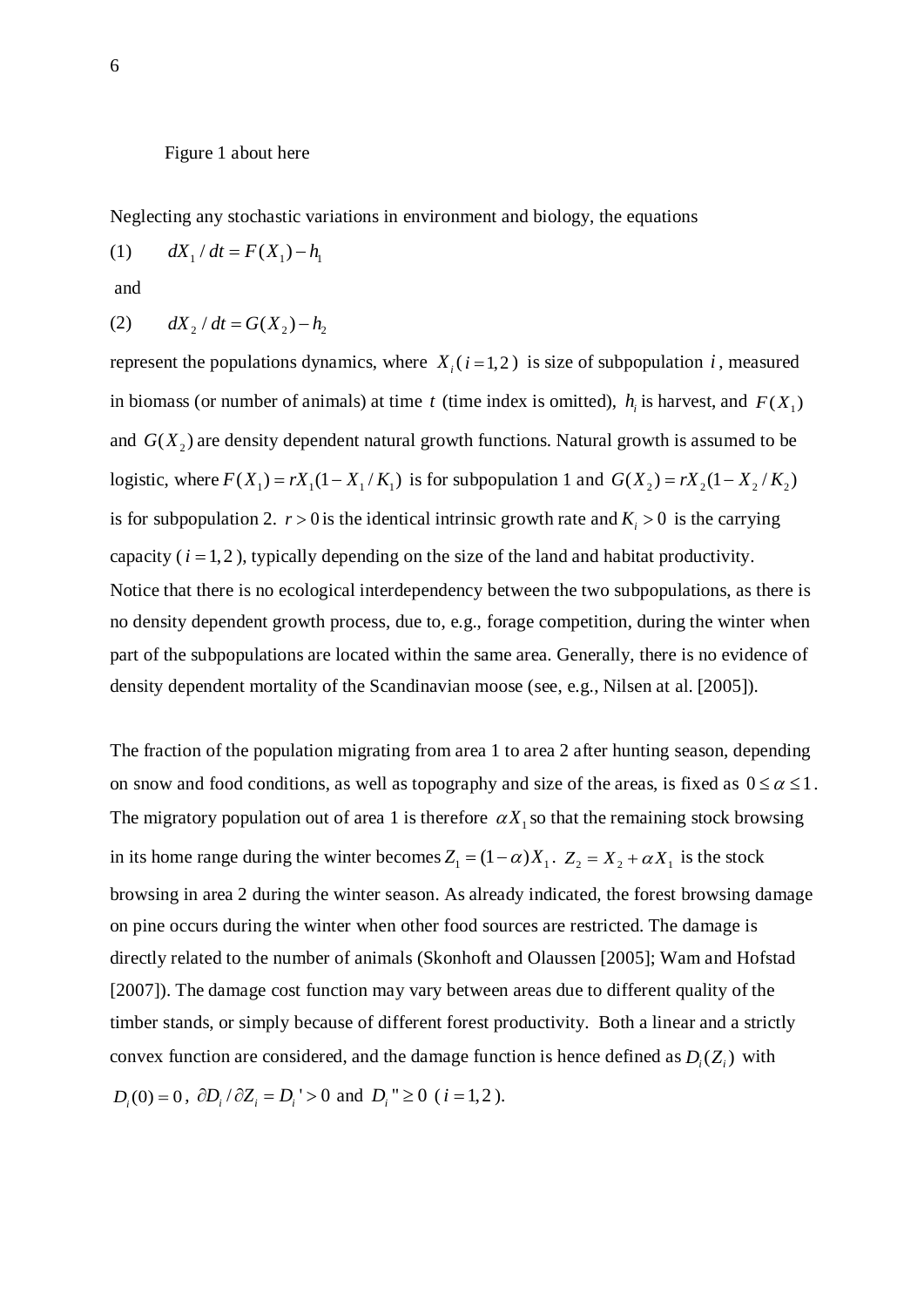### Figure 1 about here

Neglecting any stochastic variations in environment and biology, the equations

<span id="page-6-0"></span>(1)  $dX_1/dt = F(X_1) - h_1$ 

and

<span id="page-6-1"></span>(2) 
$$
dX_2/dt = G(X_2) - h_2
$$

represent the populations dynamics, where  $X_i(i=1,2)$  is size of subpopulation *i*, measured in biomass (or number of animals) at time *t* (time index is omitted),  $h_i$  is harvest, and  $F(X_1)$ and  $G(X_2)$  are density dependent natural growth functions. Natural growth is assumed to be logistic, where  $F(X_1) = rX_1(1 - X_1/K_1)$  is for subpopulation 1 and  $G(X_2) = rX_2(1 - X_2/K_2)$ is for subpopulation 2.  $r > 0$  is the identical intrinsic growth rate and  $K<sub>i</sub> > 0$  is the carrying capacity  $(i = 1, 2)$ , typically depending on the size of the land and habitat productivity. Notice that there is no ecological interdependency between the two subpopulations, as there is no density dependent growth process, due to, e.g., forage competition, during the winter when part of the subpopulations are located within the same area. Generally, there is no evidence of density dependent mortality of the Scandinavian moose (see, e.g., Nilsen at al. [2005]).

The fraction of the population migrating from area 1 to area 2 after hunting season, depending on snow and food conditions, as well as topography and size of the areas, is fixed as  $0 \le \alpha \le 1$ . The migratory population out of area 1 is therefore  $\alpha X_1$  so that the remaining stock browsing in its home range during the winter becomes  $Z_1 = (1 - \alpha)X_1$ .  $Z_2 = X_2 + \alpha X_1$  is the stock browsing in area 2 during the winter season. As already indicated, the forest browsing damage on pine occurs during the winter when other food sources are restricted. The damage is directly related to the number of animals (Skonhoft and Olaussen [2005]; Wam and Hofstad [2007]). The damage cost function may vary between areas due to different quality of the timber stands, or simply because of different forest productivity. Both a linear and a strictly convex function are considered, and the damage function is hence defined as  $D_i(Z_i)$  with  $D_i(0) = 0$ ,  $\partial D_i / \partial Z_i = D_i > 0$  and  $D_i'' \ge 0$  (*i* = 1,2).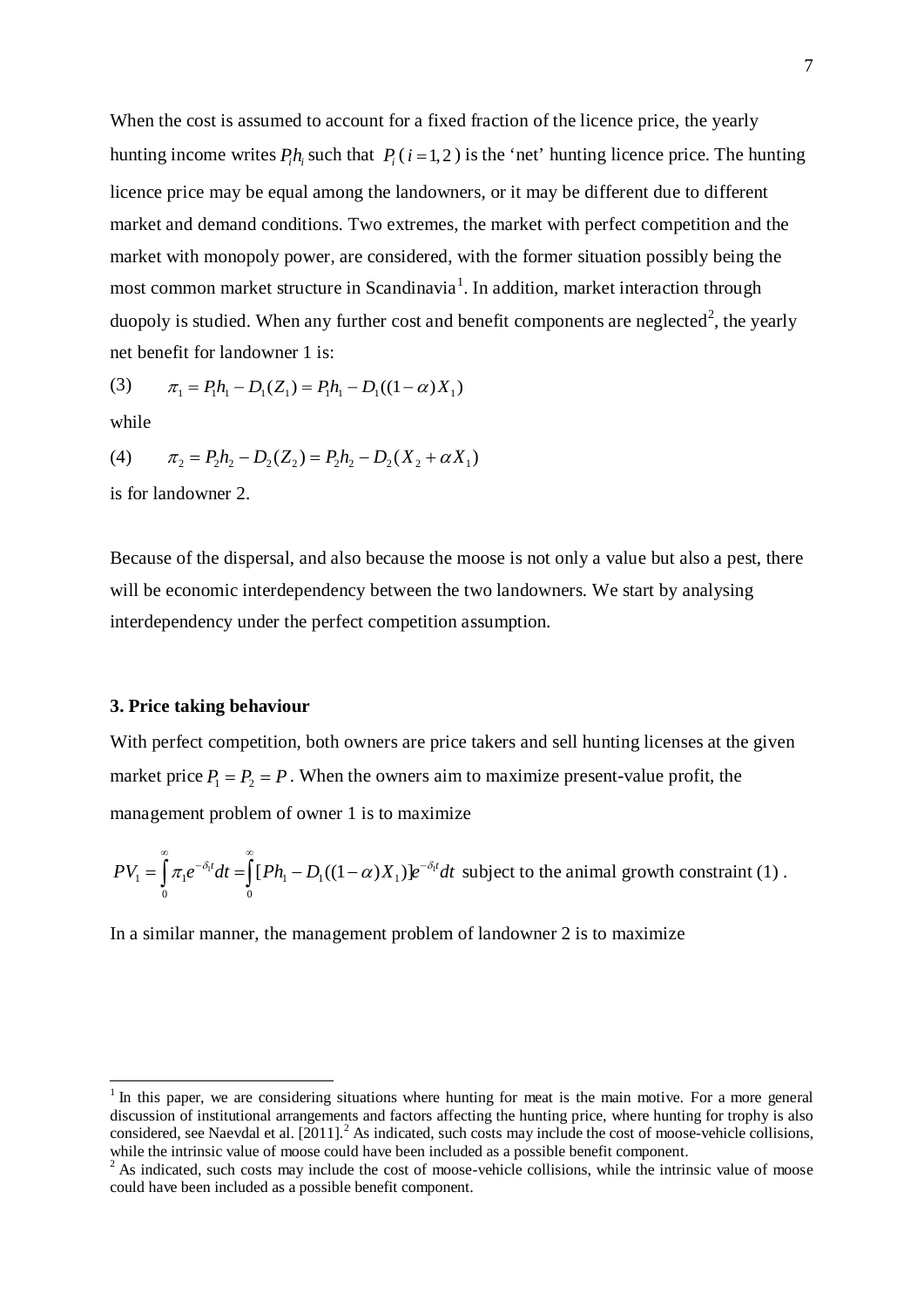When the cost is assumed to account for a fixed fraction of the licence price, the yearly hunting income writes  $P_i h_i$  such that  $P_i$  ( $i = 1, 2$ ) is the 'net' hunting licence price. The hunting licence price may be equal among the landowners, or it may be different due to different market and demand conditions. Two extremes, the market with perfect competition and the market with monopoly power, are considered, with the former situation possibly being the most common market structure in Scandinavia<sup>[1](#page-7-0)</sup>. In addition, market interaction through duopoly is studied. When any further cost and benefit components are neglected<sup>[2](#page-7-1)</sup>, the yearly net benefit for landowner 1 is:

(3) 
$$
\pi_1 = P_1 h_1 - D_1(Z_1) = P_1 h_1 - D_1((1 - \alpha)X_1)
$$

while

(4) 
$$
\pi_2 = P_2 h_2 - D_2(Z_2) = P_2 h_2 - D_2(X_2 + \alpha X_1)
$$

is for landowner 2.

Because of the dispersal, and also because the moose is not only a value but also a pest, there will be economic interdependency between the two landowners. We start by analysing interdependency under the perfect competition assumption.

## **3. Price taking behaviour**

With perfect competition, both owners are price takers and sell hunting licenses at the given market price  $P_1 = P_2 = P$ . When the owners aim to maximize present-value profit, the management problem of owner 1 is to maximize

$$
PV_1 = \int_0^{\infty} \pi_1 e^{-\delta_1 t} dt = \int_0^{\infty} [Ph_1 - D_1((1-\alpha)X_1)] e^{-\delta_1 t} dt
$$
 subject to the animal growth constraint (1).

In a similar manner, the management problem of landowner 2 is to maximize

<span id="page-7-0"></span> $1$  In this paper, we are considering situations where hunting for meat is the main motive. For a more general discussion of institutional arrangements and factors affecting the hunting price, where hunting for trophy is also considered, see Naevdal et al. [2011].<sup>2</sup> As indicated, such costs may include the cost of moose-vehicle collisions, while the intrinsic value of moose could have been included as a possible benefit component.

<span id="page-7-1"></span> $2^2$  As indicated, such costs may include the cost of moose-vehicle collisions, while the intrinsic value of moose could have been included as a possible benefit component.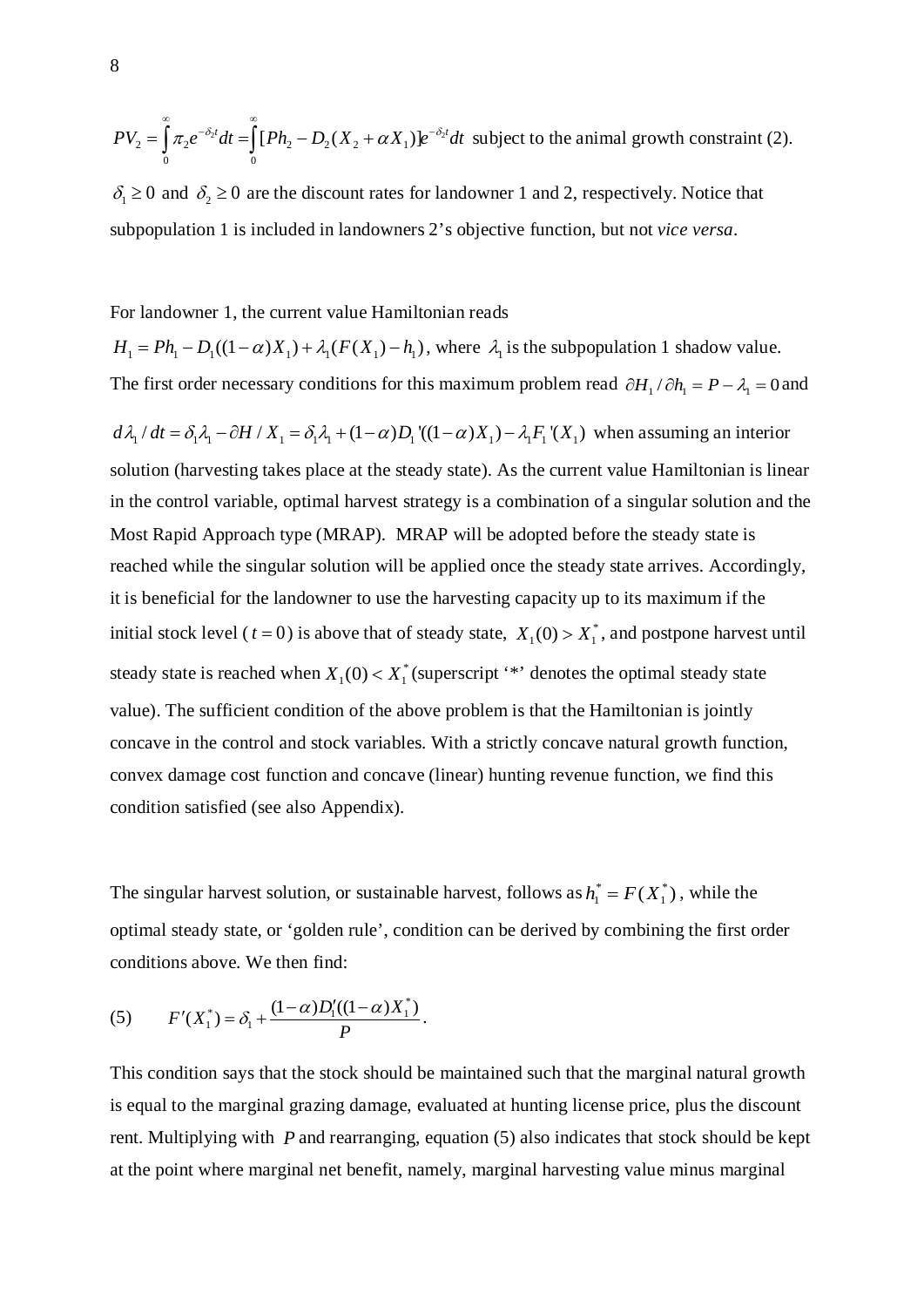$PV_2 = \int \pi_2 e^{-\delta_2 t} dt = \int [Ph_2 - D_2(X_2 + \alpha X_1)] e^{-\delta_2 t} dt$ 0 0 ∞ ∞  $=\int \pi_2 e^{-\delta_2 t} dt = \int [Ph_2 - D_2(X_2 + \alpha X_1)] e^{-\delta_2 t} dt$  subject to the animal growth constraint (2).

 $\delta_1 \geq 0$  and  $\delta_2 \geq 0$  are the discount rates for landowner 1 and 2, respectively. Notice that subpopulation 1 is included in landowners 2's objective function, but not *vice versa*.

## For landowner 1, the current value Hamiltonian reads

 $H_1 = Ph_1 - D_1((1 - \alpha)X_1) + \lambda_1(F(X_1) - h_1)$ , where  $\lambda_1$  is the subpopulation 1 shadow value. The first order necessary conditions for this maximum problem read  $\partial H_1 / \partial h_1 = P - \lambda_1 = 0$  and

 $d\lambda_1/dt = \delta_1 \lambda_1 - \partial H / X_1 = \delta_1 \lambda_1 + (1 - \alpha)D_1'((1 - \alpha)X_1) - \lambda_1 F_1'(X_1)$  when assuming an interior solution (harvesting takes place at the steady state). As the current value Hamiltonian is linear in the control variable, optimal harvest strategy is a combination of a singular solution and the Most Rapid Approach type (MRAP). MRAP will be adopted before the steady state is reached while the singular solution will be applied once the steady state arrives. Accordingly, it is beneficial for the landowner to use the harvesting capacity up to its maximum if the initial stock level ( $t = 0$ ) is above that of steady state,  $X_1(0) > X_1^*$ , and postpone harvest until steady state is reached when  $X_1(0) < X_1^*$  (superscript '\*' denotes the optimal steady state value). The sufficient condition of the above problem is that the Hamiltonian is jointly concave in the control and stock variables. With a strictly concave natural growth function, convex damage cost function and concave (linear) hunting revenue function, we find this condition satisfied (see also Appendix).

The singular harvest solution, or sustainable harvest, follows as  $h_1^* = F(X_1^*)$ , while the optimal steady state, or 'golden rule', condition can be derived by combining the first order conditions above. We then find:

<span id="page-8-0"></span>(5) 
$$
F'(X_1^*) = \delta_1 + \frac{(1-\alpha)D_1'((1-\alpha)X_1^*)}{P}.
$$

This condition says that the stock should be maintained such that the marginal natural growth is equal to the marginal grazing damage, evaluated at hunting license price, plus the discount rent. Multiplying with *P* and rearranging, equation [\(5\)](#page-8-0) also indicates that stock should be kept at the point where marginal net benefit, namely, marginal harvesting value minus marginal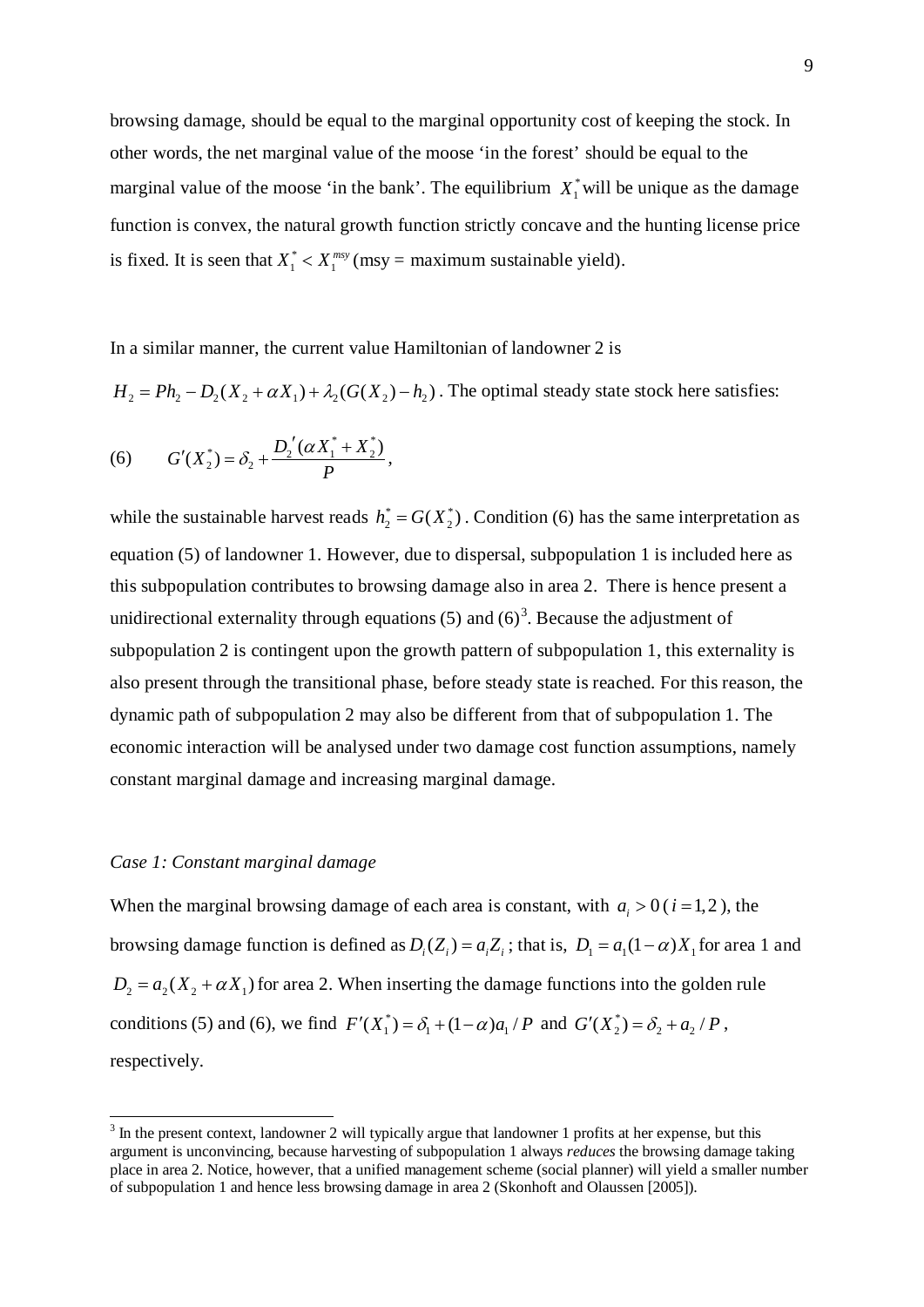browsing damage, should be equal to the marginal opportunity cost of keeping the stock. In other words, the net marginal value of the moose 'in the forest' should be equal to the marginal value of the moose 'in the bank'. The equilibrium  $X_1^*$  will be unique as the damage function is convex, the natural growth function strictly concave and the hunting license price is fixed. It is seen that  $X_1^* < X_1^{\text{msy}}$  (msy = maximum sustainable yield).

In a similar manner, the current value Hamiltonian of landowner 2 is

 $H_2 = Ph_2 - D_2(X_2 + \alpha X_1) + \lambda_2(G(X_2) - h_2)$ . The optimal steady state stock here satisfies:

<span id="page-9-0"></span>(6) 
$$
G'(X_2^*) = \delta_2 + \frac{D_2'(aX_1^* + X_2^*)}{P},
$$

while the sustainable harvest reads  $h_2^* = G(X_2^*)$ . Condition [\(6\)](#page-9-0) has the same interpretation as equation (5) of landowner 1. However, due to dispersal, subpopulation 1 is included here as this subpopulation contributes to browsing damage also in area 2. There is hence present a unidirectional externality through equations  $(5)$  and  $(6)^3$  $(6)^3$ . Because the adjustment of subpopulation 2 is contingent upon the growth pattern of subpopulation 1, this externality is also present through the transitional phase, before steady state is reached. For this reason, the dynamic path of subpopulation 2 may also be different from that of subpopulation 1. The economic interaction will be analysed under two damage cost function assumptions, namely constant marginal damage and increasing marginal damage.

## *Case 1: Constant marginal damage*

When the marginal browsing damage of each area is constant, with  $a_i > 0$  ( $i = 1, 2$ ), the browsing damage function is defined as  $D_i ( Z_i ) = a_i Z_i$ ; that is,  $D_1 = a_1 (1 - \alpha) X_1$  for area 1 and  $D_2 = a_2 (X_2 + \alpha X_1)$  for area 2. When inserting the damage functions into the golden rule conditions [\(5\)](#page-8-0) and [\(6\),](#page-9-0) we find  $F'(X_1^*) = \delta_1 + (1 - \alpha)a_1 / P$  and  $G'(X_2^*) = \delta_2 + a_2 / P$ , respectively.

<span id="page-9-1"></span><sup>&</sup>lt;sup>3</sup> In the present context, landowner 2 will typically argue that landowner 1 profits at her expense, but this argument is unconvincing, because harvesting of subpopulation 1 always *reduces* the browsing damage taking place in area 2. Notice, however, that a unified management scheme (social planner) will yield a smaller number of subpopulation 1 and hence less browsing damage in area 2 (Skonhoft and Olaussen [2005]).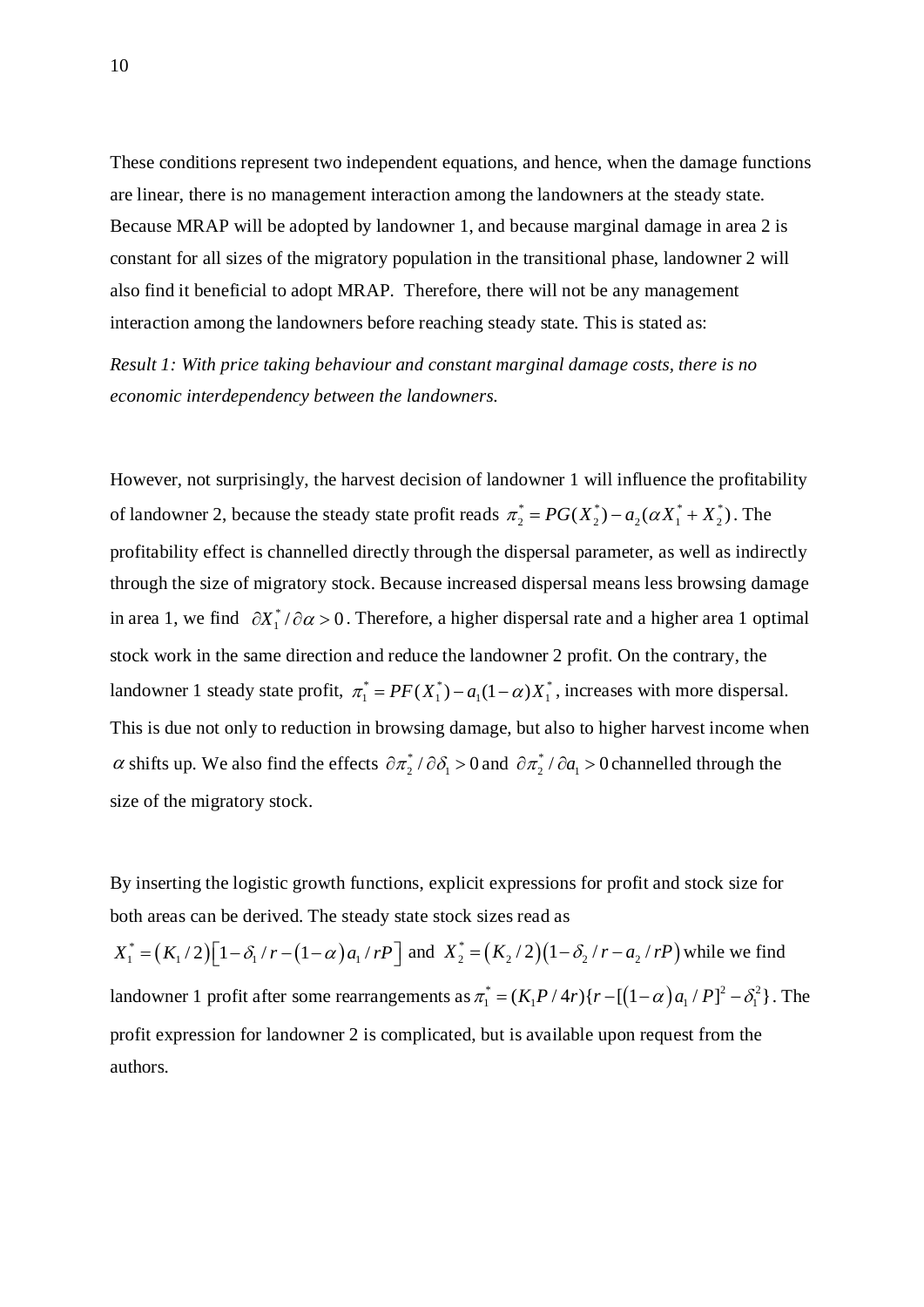These conditions represent two independent equations, and hence, when the damage functions are linear, there is no management interaction among the landowners at the steady state. Because MRAP will be adopted by landowner 1, and because marginal damage in area 2 is constant for all sizes of the migratory population in the transitional phase, landowner 2 will also find it beneficial to adopt MRAP. Therefore, there will not be any management interaction among the landowners before reaching steady state. This is stated as:

*Result 1: With price taking behaviour and constant marginal damage costs, there is no economic interdependency between the landowners.* 

However, not surprisingly, the harvest decision of landowner 1 will influence the profitability of landowner 2, because the steady state profit reads  $\pi_2^* = PG(X_2^*) - a_2(\alpha X_1^* + X_2^*)$ . The profitability effect is channelled directly through the dispersal parameter, as well as indirectly through the size of migratory stock. Because increased dispersal means less browsing damage in area 1, we find  $\partial X_1^* / \partial \alpha > 0$ . Therefore, a higher dispersal rate and a higher area 1 optimal stock work in the same direction and reduce the landowner 2 profit. On the contrary, the landowner 1 steady state profit,  $\pi_1^* = PF(X_1^*) - a_1(1-\alpha)X_1^*$ , increases with more dispersal. This is due not only to reduction in browsing damage, but also to higher harvest income when  $\alpha$  shifts up. We also find the effects  $\partial \pi_2^* / \partial \delta_1 > 0$  and  $\partial \pi_2^* / \partial a_1 > 0$  channelled through the size of the migratory stock.

By inserting the logistic growth functions, explicit expressions for profit and stock size for both areas can be derived. The steady state stock sizes read as

 $X_1^* = (K_1/2)[1 - \delta_1/r - (1 - \alpha) a_1/rP]$  and  $X_2^* = (K_2/2)(1 - \delta_2/r - a_2/rP)$  while we find landowner 1 profit after some rearrangements as  $\pi_1^* = (K_1 P / 4r) \{ r - [(1 - \alpha) a_1 / P]^2 - \delta_1^2 \}$ . The profit expression for landowner 2 is complicated, but is available upon request from the authors.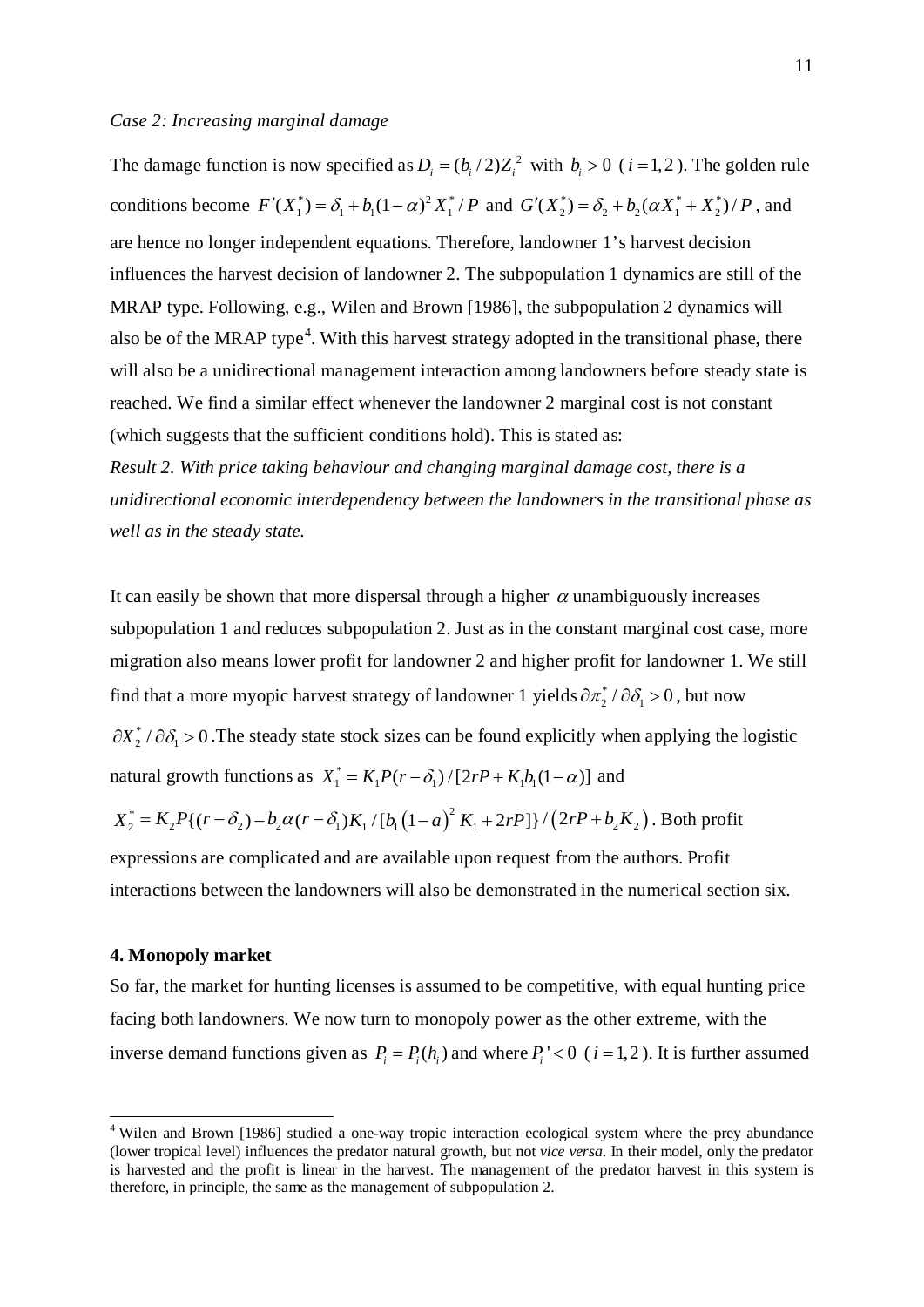The damage function is now specified as  $D_i = (b_i/2)Z_i^2$  with  $b_i > 0$  ( $i = 1, 2$ ). The golden rule conditions become  $F'(X_1^*) = \delta_1 + b_1(1-\alpha)^2 X_1^* / P$  and  $G'(X_2^*) = \delta_2 + b_2(\alpha X_1^* + X_2^*) / P$ , and are hence no longer independent equations. Therefore, landowner 1's harvest decision influences the harvest decision of landowner 2. The subpopulation 1 dynamics are still of the MRAP type. Following, e.g., Wilen and Brown [1986], the subpopulation 2 dynamics will also be of the MRAP type $\rm ^4$  $\rm ^4$ . With this harvest strategy adopted in the transitional phase, there will also be a unidirectional management interaction among landowners before steady state is reached. We find a similar effect whenever the landowner 2 marginal cost is not constant (which suggests that the sufficient conditions hold). This is stated as:

*Result 2. With price taking behaviour and changing marginal damage cost, there is a unidirectional economic interdependency between the landowners in the transitional phase as well as in the steady state.*

It can easily be shown that more dispersal through a higher  $\alpha$  unambiguously increases subpopulation 1 and reduces subpopulation 2. Just as in the constant marginal cost case, more migration also means lower profit for landowner 2 and higher profit for landowner 1. We still find that a more myopic harvest strategy of landowner 1 yields  $\partial \pi_2^* / \partial \delta_1 > 0$ , but now  $\partial X_2^* / \partial \delta_1 > 0$ . The steady state stock sizes can be found explicitly when applying the logistic natural growth functions as  $X_1^* = K_1 P(r - \delta_1) / [2rP + K_1 b_1 (1 - \alpha)]$  and

 $X_2^* = K_2 P \{(r - \delta_2) - b_2 \alpha (r - \delta_1) K_1 / [b_1 (1 - a)^2 K_1 + 2rP] \}/(2rP + b_2 K_2)$ . Both profit

expressions are complicated and are available upon request from the authors. Profit interactions between the landowners will also be demonstrated in the numerical section six.

## **4. Monopoly market**

So far, the market for hunting licenses is assumed to be competitive, with equal hunting price facing both landowners. We now turn to monopoly power as the other extreme, with the inverse demand functions given as  $P_i = P_i(h_i)$  and where  $P_i < 0$  ( $i = 1, 2$ ). It is further assumed

<span id="page-11-0"></span><sup>&</sup>lt;sup>4</sup> Wilen and Brown [1986] studied a one-way tropic interaction ecological system where the prey abundance (lower tropical level) influences the predator natural growth, but not *vice versa*. In their model, only the predator is harvested and the profit is linear in the harvest. The management of the predator harvest in this system is therefore, in principle, the same as the management of subpopulation 2.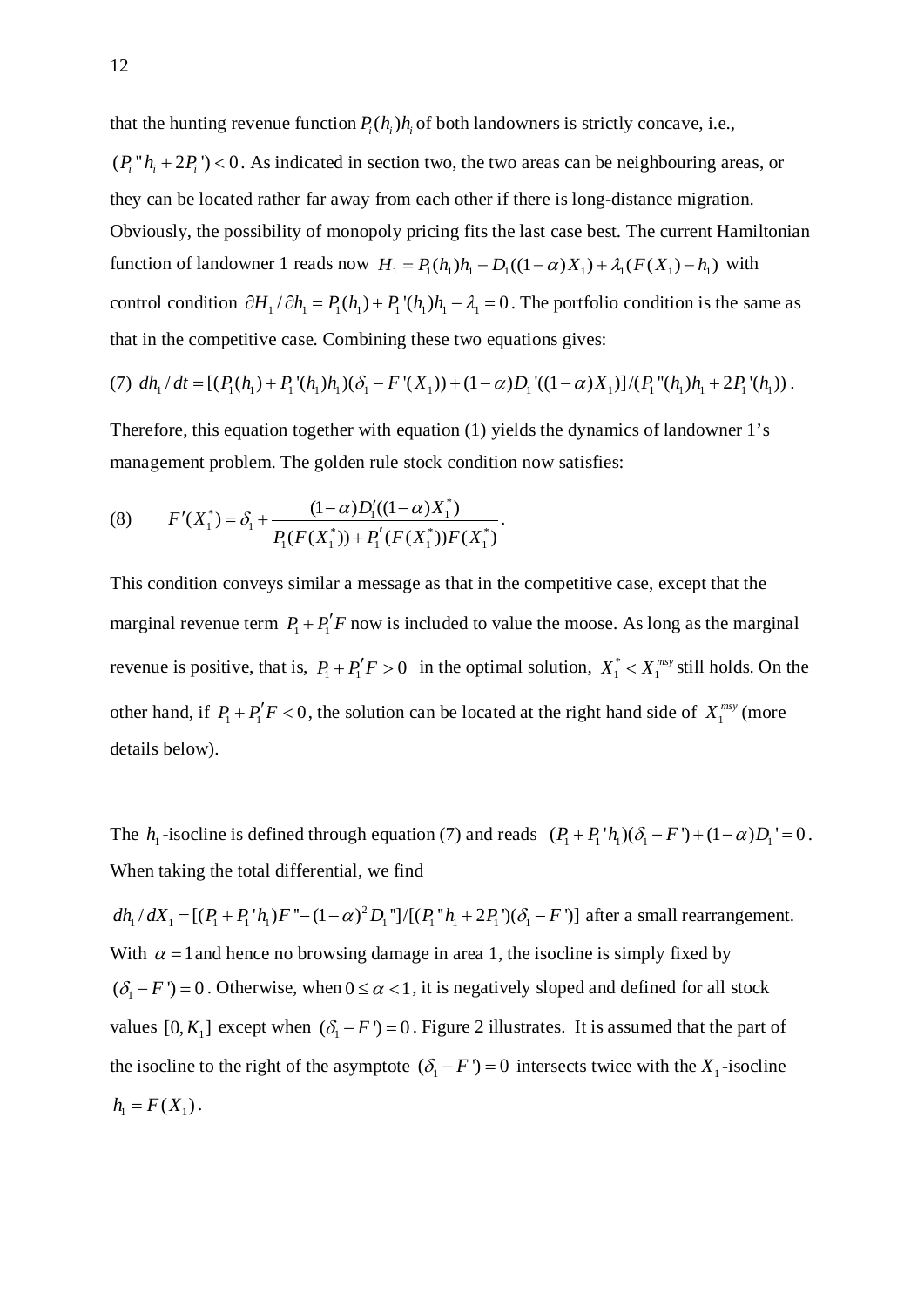that the hunting revenue function  $P_i(h_i)h_i$  of both landowners is strictly concave, i.e.,

 $(P_i'' h_i + 2P_i)$  < 0. As indicated in section two, the two areas can be neighbouring areas, or they can be located rather far away from each other if there is long-distance migration. Obviously, the possibility of monopoly pricing fits the last case best. The current Hamiltonian function of landowner 1 reads now  $H_1 = P_1(h_1)h_1 - D_1((1 - \alpha)X_1) + \lambda_1(F(X_1) - h_1)$  with control condition  $\partial H_1 / \partial h_1 = P_1 (h_1) + P_1 (h_1) h_1 - \lambda_1 = 0$ . The portfolio condition is the same as that in the competitive case. Combining these two equations gives:

(7) 
$$
dh_1/dt = [(P_1(h_1) + P_1'(h_1)h_1)(\delta_1 - F'(X_1)) + (1-\alpha)D_1'((1-\alpha)X_1)]/(P_1''(h_1)h_1 + 2P_1'(h_1))
$$
.

Therefore, this equation together with equation (1) yields the dynamics of landowner 1's management problem. The golden rule stock condition now satisfies:

(8) 
$$
F'(X_1^*) = \delta_1 + \frac{(1-\alpha)D_1'((1-\alpha)X_1^*)}{P_1(F(X_1^*)) + P_1'(F(X_1^*))F(X_1^*)}.
$$

This condition conveys similar a message as that in the competitive case, except that the marginal revenue term  $P_1 + P_1' F$  now is included to value the moose. As long as the marginal revenue is positive, that is,  $P_1 + P_1'F > 0$  in the optimal solution,  $X_1^* < X_1^{\text{msy}}$  still holds. On the other hand, if  $P_1 + P_1' F < 0$ , the solution can be located at the right hand side of  $X_1^{msy}$  (more details below).

The  $h_1$  -isocline is defined through equation (7) and reads  $(P_1 + P_1 \, h_1)(\delta_1 - F') + (1 - \alpha)D_1 = 0$ . When taking the total differential, we find

 $dh_1/dX_1 = [(P_1 + P_1'h_1)F" - (1 - \alpha)^2 D_1"] / [(P_1''h_1 + 2P_1')( \delta_1 - F')]$  after a small rearrangement. With  $\alpha = 1$  and hence no browsing damage in area 1, the isocline is simply fixed by  $({\delta_1 - F}) = 0$ . Otherwise, when  $0 \le \alpha < 1$ , it is negatively sloped and defined for all stock values  $[0, K_1]$  except when  $(\delta_1 - F') = 0$ . Figure 2 illustrates. It is assumed that the part of the isocline to the right of the asymptote  $({\delta_1 - F}) = 0$  intersects twice with the  $X_1$ -isocline  $h_1 = F(X_1)$ .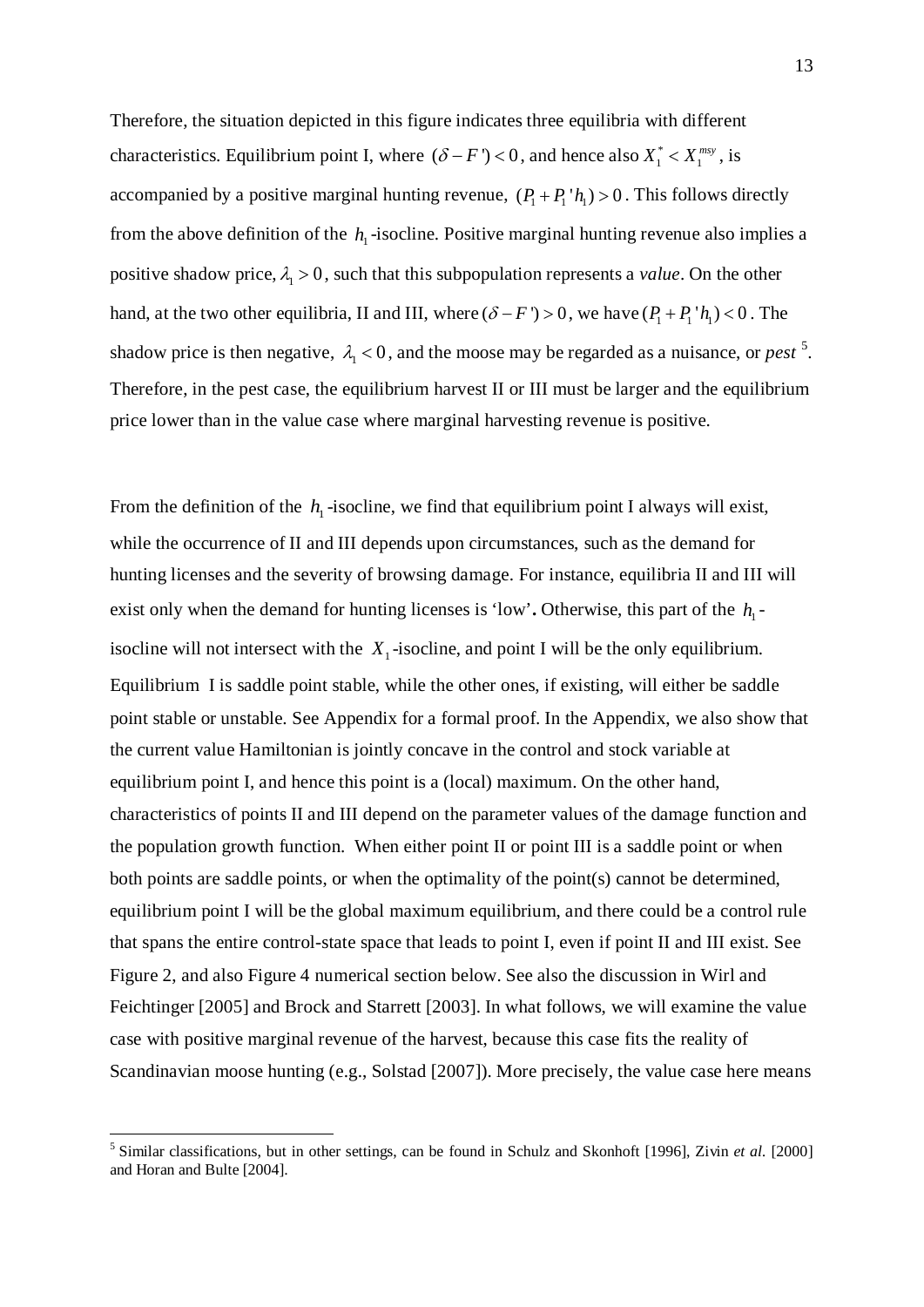Therefore, the situation depicted in this figure indicates three equilibria with different characteristics. Equilibrium point I, where  $(\delta - F') < 0$ , and hence also  $X_1^* < X_1^{\text{msy}}$ , is accompanied by a positive marginal hunting revenue,  $(P_1 + P_1' h_1) > 0$ . This follows directly from the above definition of the  $h_1$ -isocline. Positive marginal hunting revenue also implies a positive shadow price,  $\lambda_1 > 0$ , such that this subpopulation represents a *value*. On the other hand, at the two other equilibria, II and III, where  $(\delta - F) > 0$ , we have  $(P_1 + P_1'h_1) < 0$ . The shadow price is then negative,  $\lambda_1 < 0$ , and the moose may be regarded as a nuisance, or *pest*<sup>[5](#page-13-0)</sup>. Therefore, in the pest case, the equilibrium harvest II or III must be larger and the equilibrium price lower than in the value case where marginal harvesting revenue is positive.

From the definition of the  $h_1$ -isocline, we find that equilibrium point I always will exist, while the occurrence of II and III depends upon circumstances, such as the demand for hunting licenses and the severity of browsing damage. For instance, equilibria II and III will exist only when the demand for hunting licenses is 'low'. Otherwise, this part of the  $h_1$ isocline will not intersect with the  $X_1$ -isocline, and point I will be the only equilibrium. Equilibrium I is saddle point stable, while the other ones, if existing, will either be saddle point stable or unstable. See Appendix for a formal proof. In the Appendix, we also show that the current value Hamiltonian is jointly concave in the control and stock variable at equilibrium point I, and hence this point is a (local) maximum. On the other hand, characteristics of points II and III depend on the parameter values of the damage function and the population growth function. When either point II or point III is a saddle point or when both points are saddle points, or when the optimality of the point(s) cannot be determined, equilibrium point I will be the global maximum equilibrium, and there could be a control rule that spans the entire control-state space that leads to point I, even if point II and III exist. See Figure 2, and also Figure 4 numerical section below. See also the discussion in Wirl and Feichtinger [2005] and Brock and Starrett [2003]. In what follows, we will examine the value case with positive marginal revenue of the harvest, because this case fits the reality of Scandinavian moose hunting (e.g., Solstad [2007]). More precisely, the value case here means

<span id="page-13-0"></span> <sup>5</sup> Similar classifications, but in other settings, can be found in Schulz and Skonhoft [1996], Zivin *et al.* [2000] and Horan and Bulte [2004].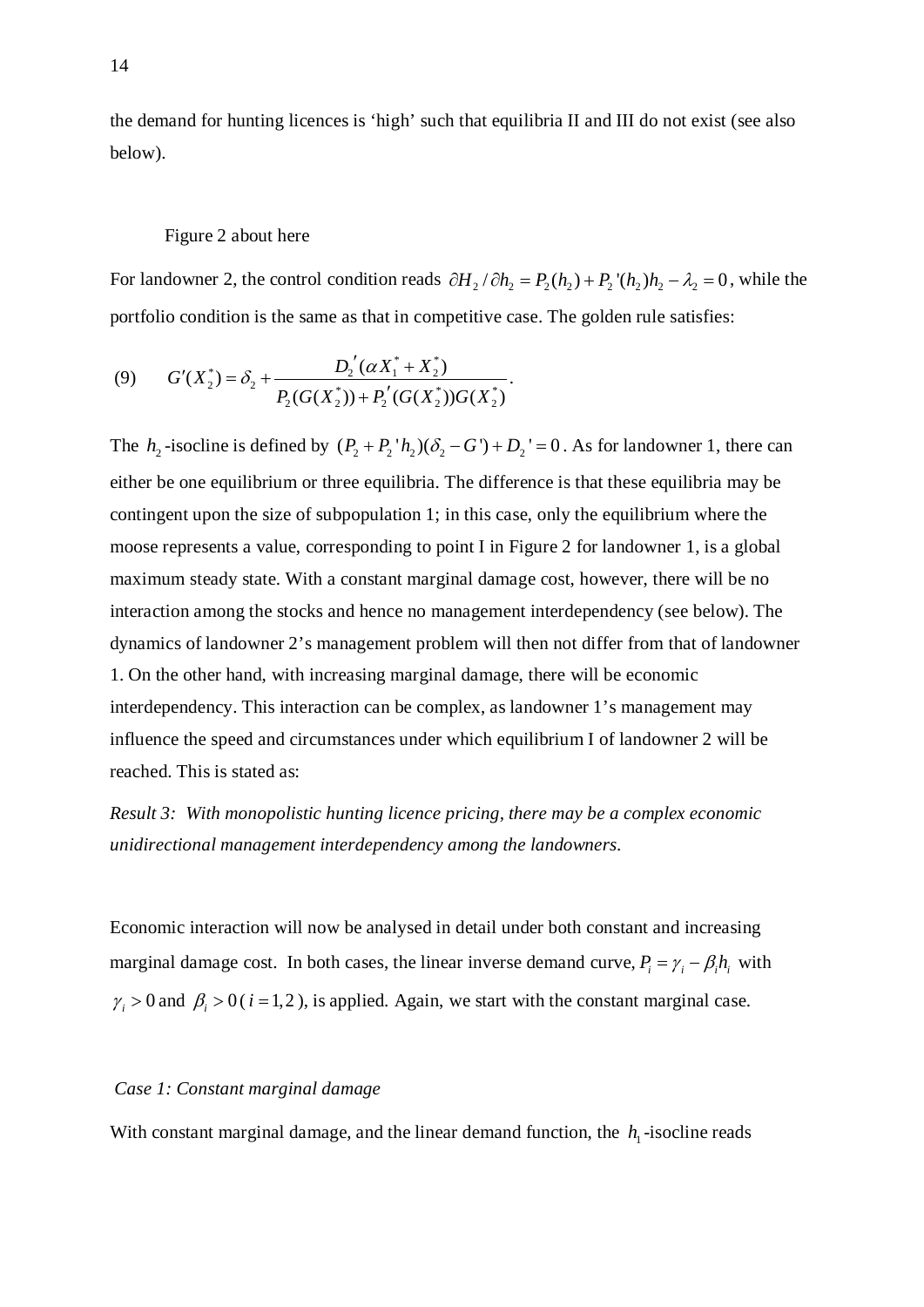the demand for hunting licences is 'high' such that equilibria II and III do not exist (see also below).

## Figure 2 about here

For landowner 2, the control condition reads  $\partial H_2 / \partial h_2 = P_2(h_2) + P_2'(h_2)h_2 - \lambda_2 = 0$ , while the portfolio condition is the same as that in competitive case. The golden rule satisfies:

(9) 
$$
G'(X_2^*) = \delta_2 + \frac{D_2'(\alpha X_1^* + X_2^*)}{P_2(G(X_2^*)) + P_2'(G(X_2^*))G(X_2^*)}.
$$

The  $h_2$ -isocline is defined by  $(P_2 + P_2'h_2)(\delta_2 - G') + D_2' = 0$ . As for landowner 1, there can either be one equilibrium or three equilibria. The difference is that these equilibria may be contingent upon the size of subpopulation 1; in this case, only the equilibrium where the moose represents a value, corresponding to point I in Figure 2 for landowner 1, is a global maximum steady state. With a constant marginal damage cost, however, there will be no interaction among the stocks and hence no management interdependency (see below). The dynamics of landowner 2's management problem will then not differ from that of landowner 1. On the other hand, with increasing marginal damage, there will be economic interdependency. This interaction can be complex, as landowner 1's management may influence the speed and circumstances under which equilibrium I of landowner 2 will be reached. This is stated as:

*Result 3: With monopolistic hunting licence pricing, there may be a complex economic unidirectional management interdependency among the landowners.*

Economic interaction will now be analysed in detail under both constant and increasing marginal damage cost. In both cases, the linear inverse demand curve,  $P_i = \gamma_i - \beta_i h_i$  with  $\gamma_i > 0$  and  $\beta_i > 0$  (*i* = 1, 2), is applied. Again, we start with the constant marginal case.

## *Case 1: Constant marginal damage*

With constant marginal damage, and the linear demand function, the  $h_1$ -isocline reads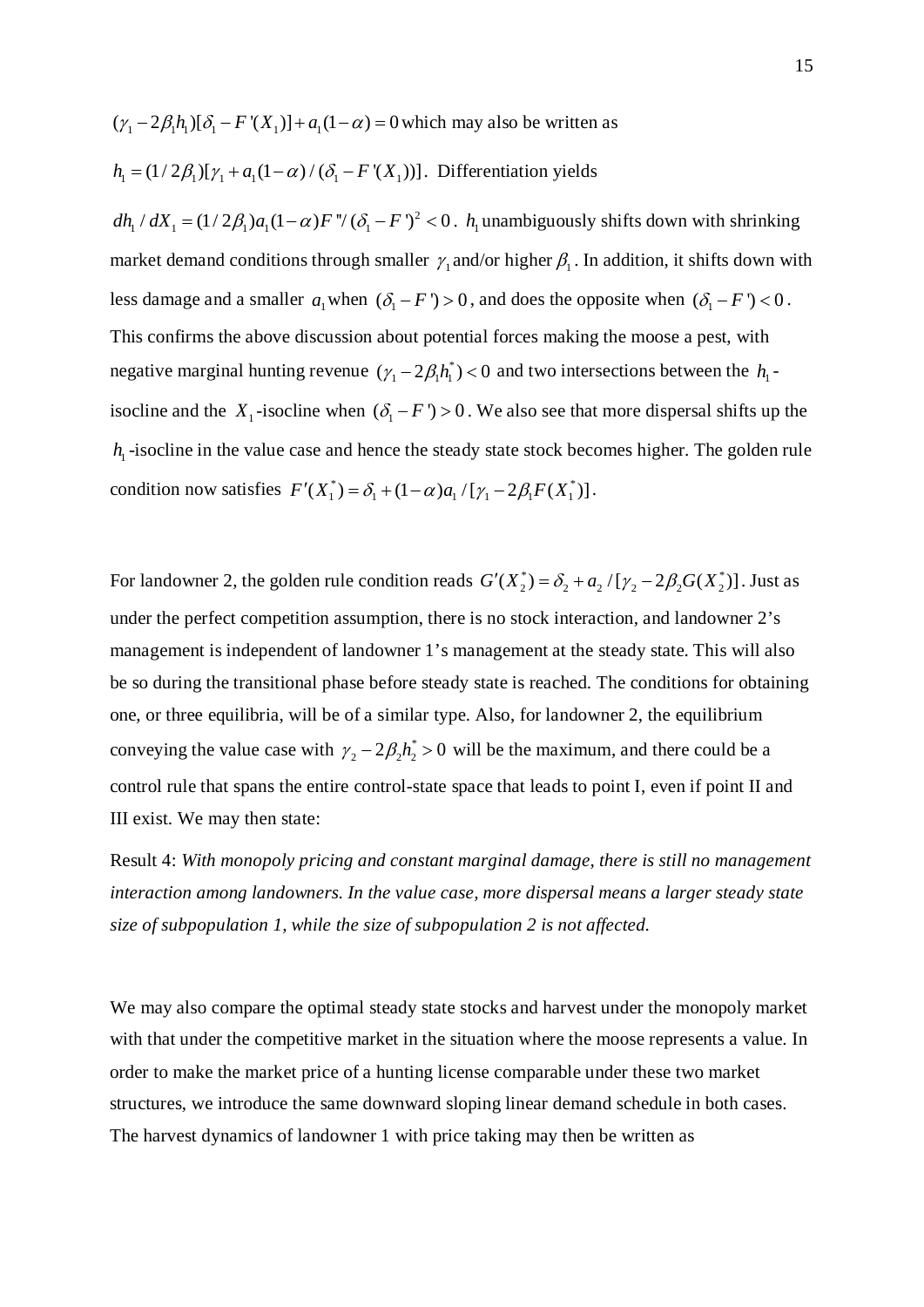$(\gamma_1 - 2\beta_1 h_1)[\delta_1 - F'(X_1)] + a_1(1 - \alpha) = 0$  which may also be written as

$$
h_1 = (1/2\beta_1)[\gamma_1 + a_1(1-\alpha)/(\delta_1 - F'(X_1))]
$$
. Differentiation yields

 $dh_1/dX_1 = (1/2\beta_1)a_1(1-\alpha)F''(\delta_1 - F')^2 < 0$ .  $h_1$  unambiguously shifts down with shrinking market demand conditions through smaller  $\gamma_1$  and/or higher  $\beta_1$ . In addition, it shifts down with less damage and a smaller  $a_1$  when  $(\delta_1 - F) > 0$ , and does the opposite when  $(\delta_1 - F) < 0$ . This confirms the above discussion about potential forces making the moose a pest, with negative marginal hunting revenue  $(\gamma_1 - 2\beta_1 h_1^*) < 0$  and two intersections between the  $h_1$ isocline and the *X*<sub>1</sub>-isocline when  $(\delta_1 - F') > 0$ . We also see that more dispersal shifts up the  $h_{\text{I}}$  -isocline in the value case and hence the steady state stock becomes higher. The golden rule condition now satisfies  $F'(X_1^*) = \delta_1 + (1 - \alpha)a_1 / [\gamma_1 - 2\beta_1 F(X_1^*)]$ .

For landowner 2, the golden rule condition reads  $G'(X_2^*) = \delta_2 + a_2 / [\gamma_2 - 2\beta_2 G(X_2^*)]$ . Just as under the perfect competition assumption, there is no stock interaction, and landowner 2's management is independent of landowner 1's management at the steady state. This will also be so during the transitional phase before steady state is reached. The conditions for obtaining one, or three equilibria, will be of a similar type. Also, for landowner 2, the equilibrium conveying the value case with  $\gamma_2 - 2\beta_2 h_2^* > 0$  will be the maximum, and there could be a control rule that spans the entire control-state space that leads to point I, even if point II and III exist. We may then state:

Result 4: *With monopoly pricing and constant marginal damage, there is still no management interaction among landowners. In the value case, more dispersal means a larger steady state size of subpopulation 1, while the size of subpopulation 2 is not affected.*

We may also compare the optimal steady state stocks and harvest under the monopoly market with that under the competitive market in the situation where the moose represents a value. In order to make the market price of a hunting license comparable under these two market structures, we introduce the same downward sloping linear demand schedule in both cases. The harvest dynamics of landowner 1 with price taking may then be written as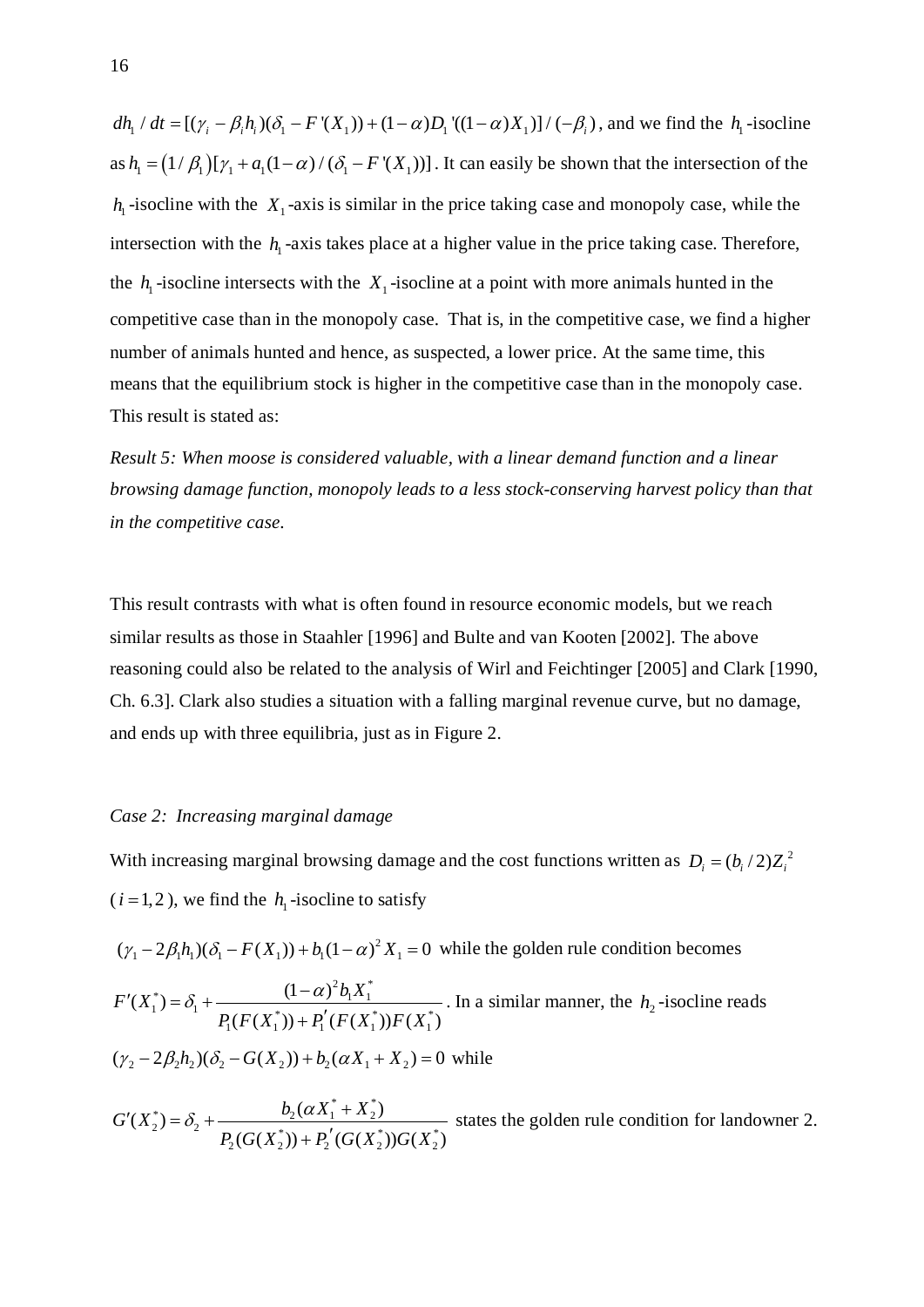$dh_1 / dt = [(\gamma_i - \beta_i h_i)(\delta_1 - F'(X_1)) + (1 - \alpha)D_1'((1 - \alpha)X_1)] / (-\beta_i)$ , and we find the  $h_1$ -isocline as  $h_1 = (1/\beta_1)[\gamma_1 + a_1(1-\alpha)/(\delta_1 - F'(X_1))]$ . It can easily be shown that the intersection of the  $h_1$ -isocline with the  $X_1$ -axis is similar in the price taking case and monopoly case, while the intersection with the  $h_1$ -axis takes place at a higher value in the price taking case. Therefore, the  $h_1$ -isocline intersects with the  $X_1$ -isocline at a point with more animals hunted in the competitive case than in the monopoly case. That is, in the competitive case, we find a higher number of animals hunted and hence, as suspected, a lower price. At the same time, this means that the equilibrium stock is higher in the competitive case than in the monopoly case. This result is stated as:

*Result 5: When moose is considered valuable, with a linear demand function and a linear browsing damage function, monopoly leads to a less stock-conserving harvest policy than that in the competitive case.*

This result contrasts with what is often found in resource economic models, but we reach similar results as those in Staahler [1996] and Bulte and van Kooten [2002]. The above reasoning could also be related to the analysis of Wirl and Feichtinger [2005] and Clark [1990, Ch. 6.3]. Clark also studies a situation with a falling marginal revenue curve, but no damage, and ends up with three equilibria, just as in Figure 2.

### *Case 2: Increasing marginal damage*

With increasing marginal browsing damage and the cost functions written as  $D_i = (b_i/2)Z_i^2$  $(i = 1, 2)$ , we find the  $h_1$ -isocline to satisfy

 $(\gamma_1 - 2\beta_1 h_1)(\delta_1 - F(X_1)) + b_1(1 - \alpha)^2 X_1 = 0$  while the golden rule condition becomes

\*) –  $\delta$  +  $\frac{(1-\alpha)^2 b_1 X_1^*}{(1-\alpha)^2}$  $1^{1}$   $1^{1}$   $D(E(V^*))$   $D'(E(V^*))$   $E(V^*)$  $1^{(1)}$   $($ <sup>1</sup> $)$   $($ <sup>1</sup> $1$  $($ <sup>1</sup> $)$  $($ <sup>1</sup> $)$  $($ <sup>1</sup> $)$  $($ <sup>1</sup> $)$  $(X_1^*) = \delta_1 + \frac{(1-\alpha)}{2}$  $(F(X_1^*)) + P_1'(F(X_1^*))F(X_1^*)$  $F'(X_1^*) = \delta_1 + \frac{(1-\alpha)^2 b_1 X}{\sigma_1}$  $P_1(F(X_1^*))+P'_1(F(X_1^*))F(X_1^*)$  $C(X_1^*) = \delta_1 + \frac{(1-\alpha)^2 b_1 X_1^*}{P_1(F(X_1^*)) + P_1'(F(X_1^*))F(X_1^*)}$ . In a similar manner, the  $h_2$ -isocline reads  $(y_2 - 2\beta_2 h_2)(\delta_2 - G(X_2)) + b_2(\alpha X_1 + X_2) = 0$  while

\*  $\lambda = S_+ - D_2(\alpha X_1^* + X_2^*)$  $2^{(2)} - 2^{(2)}$   $D(C(Y^*)) + D'(C(Y^*))C(Y^*)$  $2(\mathbf{U}(\mathbf{A}_2)) + 12(\mathbf{U}(\mathbf{A}_2))\mathbf{U}(\mathbf{A}_2)$  $(X_2^*) = \delta_2 + \frac{b_2(\alpha X_1^* + X_2^*)}{\alpha}$  $(G(X_2^*)) + P_2'(G(X_2^*))G(X_2^*)$  $G'(X_2^*) = \delta_2 + \frac{b_2(\alpha X_1^* + X_2^*)}{a_2^* + x_1^*}$  $P_2(G(X_2^*))$  +  $P'_2(G(X_2^*))G(X_2^*)$  $a_2(x_2^*) = \delta_2 + \frac{b_2(\alpha X_1^* + \alpha X_2^*)}{\sigma_2^* + \alpha X_2^*}$  $\frac{(x_1 + x_2)}{(x_1 + x_2)}$  states the golden rule condition for landowner 2.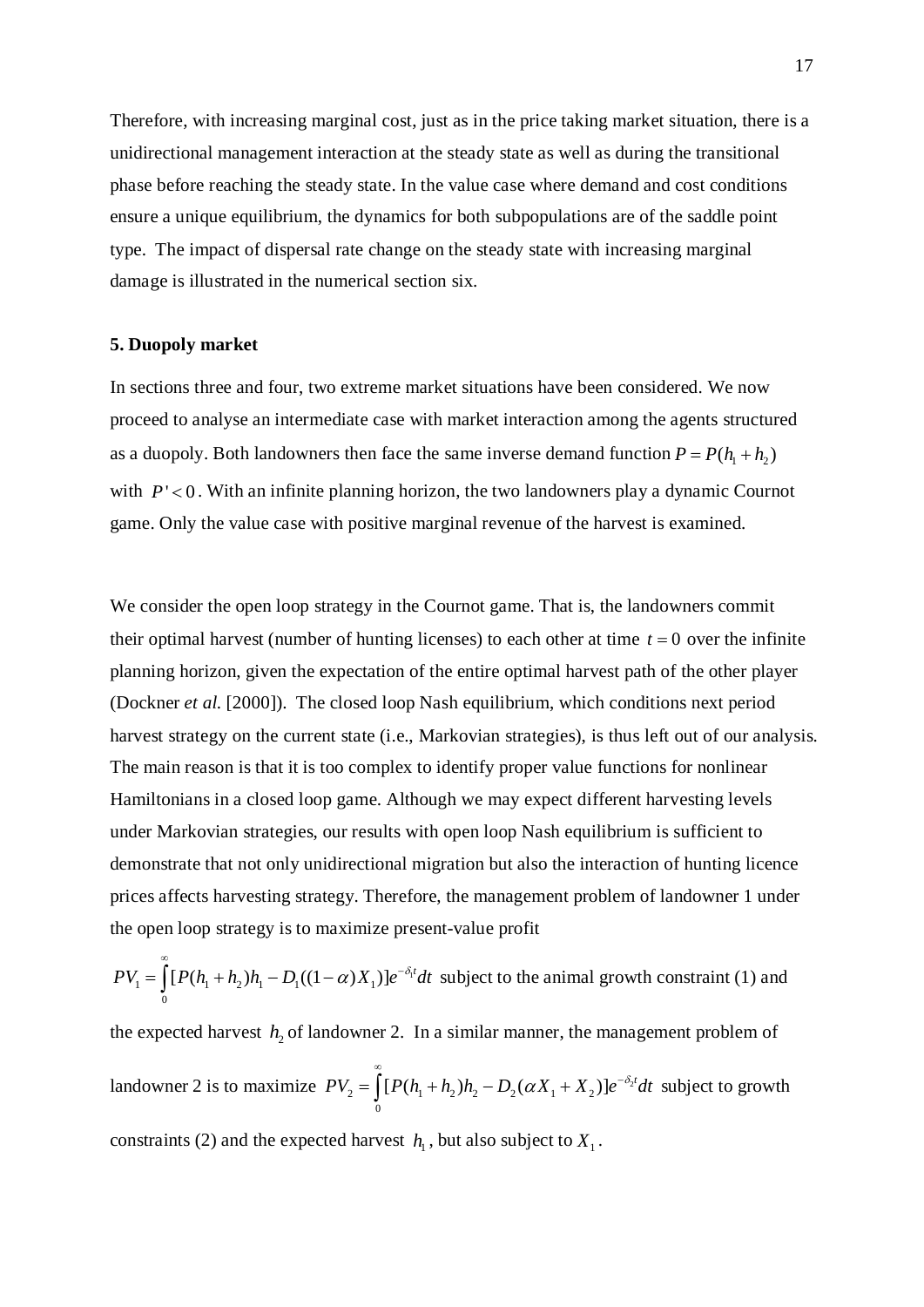Therefore, with increasing marginal cost, just as in the price taking market situation, there is a unidirectional management interaction at the steady state as well as during the transitional phase before reaching the steady state. In the value case where demand and cost conditions ensure a unique equilibrium, the dynamics for both subpopulations are of the saddle point type. The impact of dispersal rate change on the steady state with increasing marginal damage is illustrated in the numerical section six.

## **5. Duopoly market**

In sections three and four, two extreme market situations have been considered. We now proceed to analyse an intermediate case with market interaction among the agents structured as a duopoly. Both landowners then face the same inverse demand function  $P = P(h_1 + h_2)$ with  $P' < 0$ . With an infinite planning horizon, the two landowners play a dynamic Cournot game. Only the value case with positive marginal revenue of the harvest is examined.

We consider the open loop strategy in the Cournot game. That is, the landowners commit their optimal harvest (number of hunting licenses) to each other at time  $t = 0$  over the infinite planning horizon, given the expectation of the entire optimal harvest path of the other player (Dockner *et al.* [2000]). The closed loop Nash equilibrium, which conditions next period harvest strategy on the current state (i.e., Markovian strategies), is thus left out of our analysis. The main reason is that it is too complex to identify proper value functions for nonlinear Hamiltonians in a closed loop game. Although we may expect different harvesting levels under Markovian strategies, our results with open loop Nash equilibrium is sufficient to demonstrate that not only unidirectional migration but also the interaction of hunting licence prices affects harvesting strategy. Therefore, the management problem of landowner 1 under the open loop strategy is to maximize present-value profit

 $PV_1 = \int [P(h_1 + h_2)h_1 - D_1((1 - \alpha)X_1)]e^{-\delta_1 t}dt$  $\boldsymbol{0}$ ∞  $=\int [P(h_1+h_2)h_1-D_1((1-\alpha)X_1)]e^{-\delta_1 t}dt$  subject to the animal growth constraint (1) and

the expected harvest  $h<sub>2</sub>$  of landowner 2. In a similar manner, the management problem of landowner 2 is to maximize  $PV_2 = \int [P(h_1 + h_2)h_2 - D_2(\alpha X_1 + X_2)]e^{-\delta_2}$  $\mathbf{0}$  $PV_2 = \int [ P(h_1 + h_2) h_2 - D_2(\alpha X_1 + X_2)] e^{-\delta_2 t} dt$ ∞  $=\int [P(h_1 + h_2)h_2 - D_2(\alpha X_1 + X_2)]e^{-\delta_2 t} dt$  subject to growth constraints [\(2\)](#page-6-1) and the expected harvest  $h_1$ , but also subject to  $X_1$ .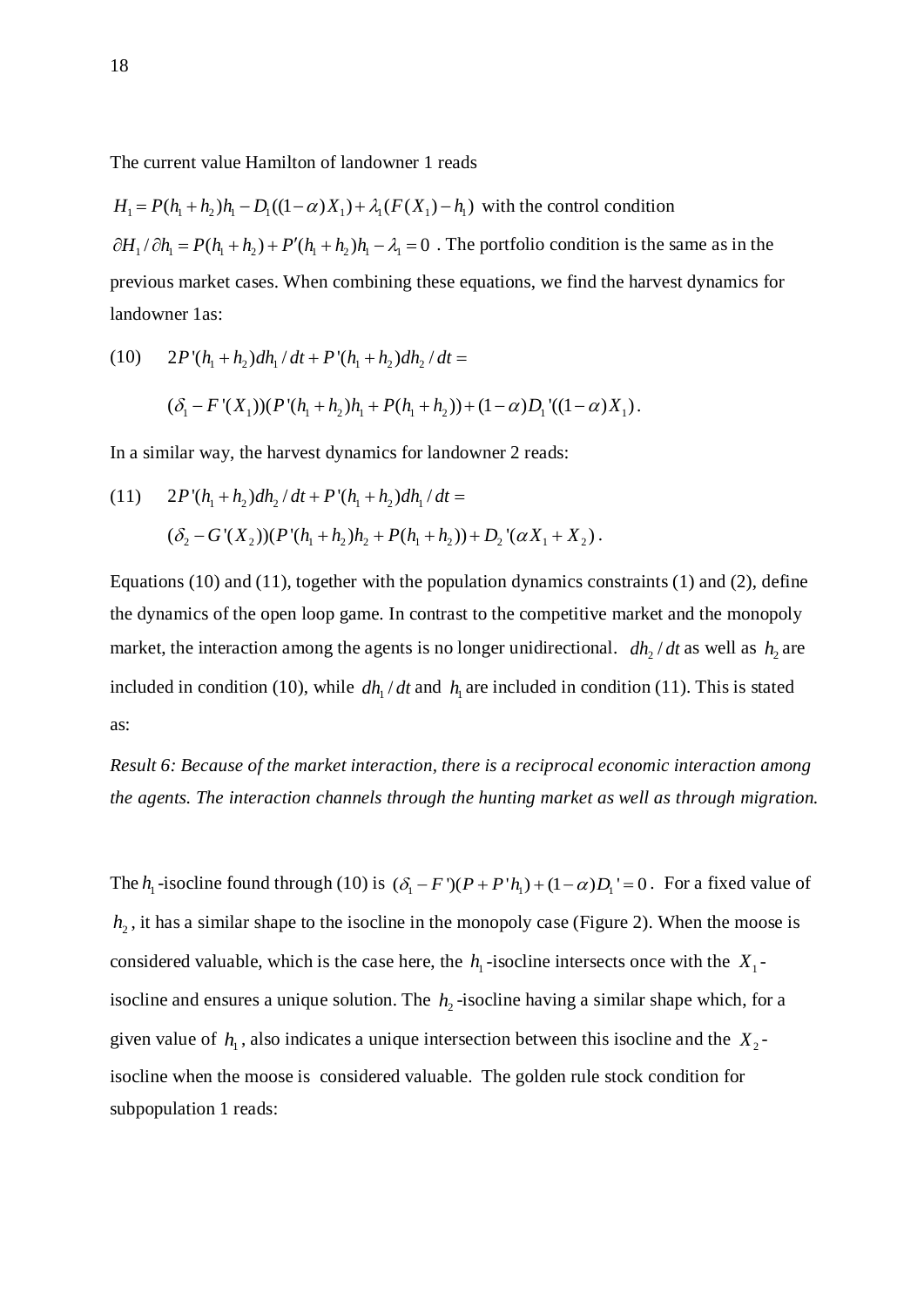The current value Hamilton of landowner 1 reads

 $H_1 = P(h_1 + h_2)h_1 - D_1((1 - \alpha)X_1) + \lambda_1(F(X_1) - h_1)$  with the control condition  $\partial H_1 / \partial h_1 = P(h_1 + h_2) + P'(h_1 + h_2)h_1 - \lambda_1 = 0$ . The portfolio condition is the same as in the previous market cases. When combining these equations, we find the harvest dynamics for landowner 1as:

<span id="page-18-0"></span>(10) 
$$
2P'(h_1 + h_2)dh_1/dt + P'(h_1 + h_2)dh_2/dt =
$$

$$
(\delta_1 - F'(X_1))(P'(h_1 + h_2)h_1 + P(h_1 + h_2)) + (1 - \alpha)D_1'((1 - \alpha)X_1).
$$

In a similar way, the harvest dynamics for landowner 2 reads:

(11) 
$$
2P'(h_1 + h_2)dh_2/dt + P'(h_1 + h_2)dh_1/dt =
$$

$$
(\delta_2 - G'(X_2))(P'(h_1 + h_2)h_2 + P(h_1 + h_2)) + D_2'( \alpha X_1 + X_2).
$$

Equations (10) and (11), together with the population dynamics constraints [\(1\)](#page-6-0) and [\(2\),](#page-6-1) define the dynamics of the open loop game. In contrast to the competitive market and the monopoly market, the interaction among the agents is no longer unidirectional.  $dh_2/dt$  as well as  $h_2$  are included in condition [\(10\),](#page-18-0) while  $dh_1/dt$  and  $h_1$  are included in condition (11). This is stated as:

*Result 6: Because of the market interaction, there is a reciprocal economic interaction among the agents. The interaction channels through the hunting market as well as through migration.*

The  $h_1$ -isocline found through [\(10\)](#page-18-0) is  $(\delta_1 - F')$  $(P + P'h_1) + (1 - \alpha)D_1' = 0$ . For a fixed value of  $h<sub>2</sub>$ , it has a similar shape to the isocline in the monopoly case (Figure 2). When the moose is considered valuable, which is the case here, the  $h_1$ -isocline intersects once with the  $X_1$ isocline and ensures a unique solution. The  $h_2$ -isocline having a similar shape which, for a given value of  $h_1$ , also indicates a unique intersection between this isocline and the  $X_2$ isocline when the moose is considered valuable. The golden rule stock condition for subpopulation 1 reads: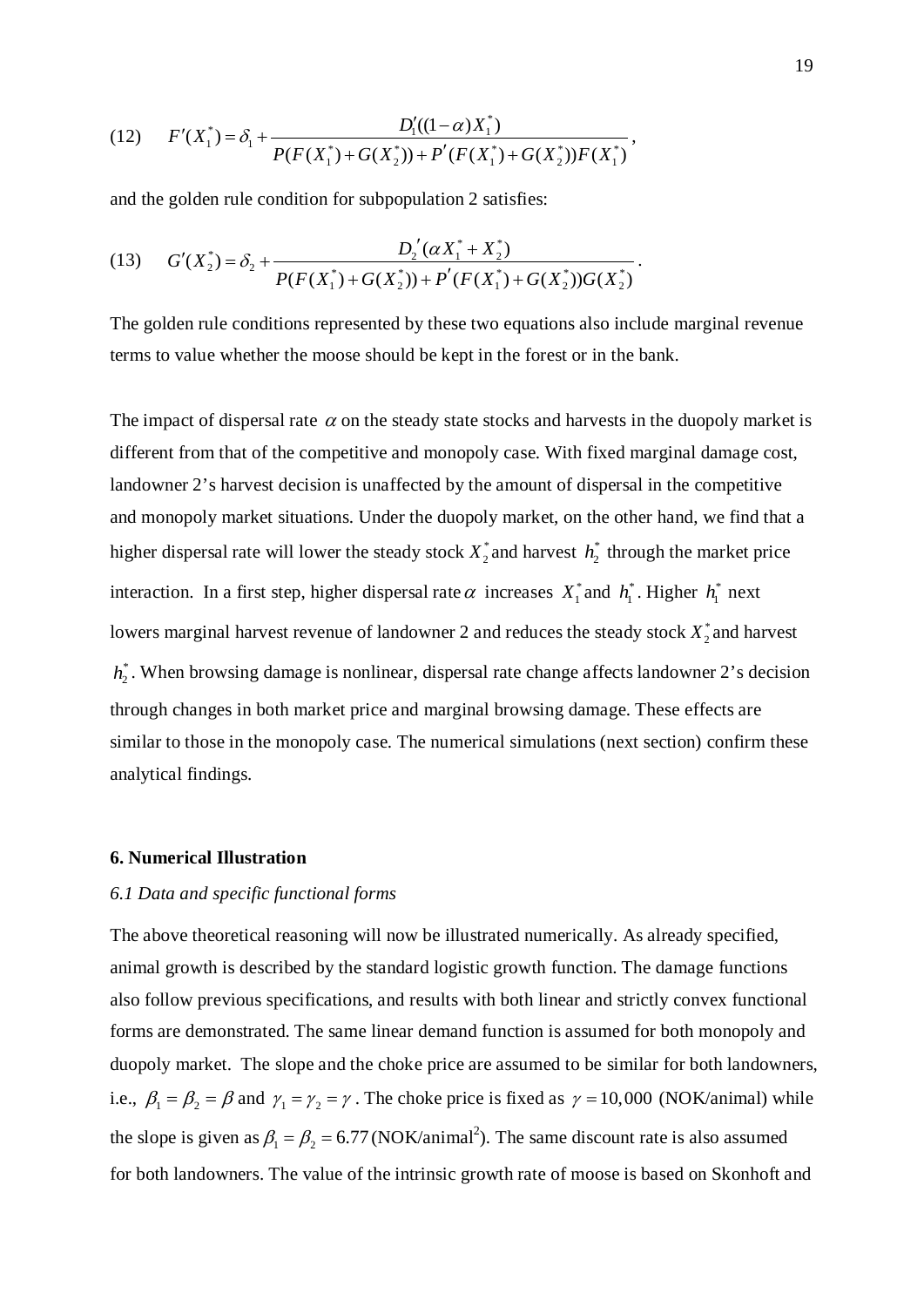(12) 
$$
F'(X_1^*) = \delta_1 + \frac{D_1'((1-\alpha)X_1^*)}{P(F(X_1^*) + G(X_2^*)) + P'(F(X_1^*) + G(X_2^*))F(X_1^*)},
$$

and the golden rule condition for subpopulation 2 satisfies:

(13) 
$$
G'(X_2^*) = \delta_2 + \frac{D_2'(\alpha X_1^* + X_2^*)}{P(F(X_1^*) + G(X_2^*)) + P'(F(X_1^*) + G(X_2^*))G(X_2^*)}.
$$

The golden rule conditions represented by these two equations also include marginal revenue terms to value whether the moose should be kept in the forest or in the bank.

The impact of dispersal rate  $\alpha$  on the steady state stocks and harvests in the duopoly market is different from that of the competitive and monopoly case. With fixed marginal damage cost, landowner 2's harvest decision is unaffected by the amount of dispersal in the competitive and monopoly market situations. Under the duopoly market, on the other hand, we find that a higher dispersal rate will lower the steady stock  $X_2^*$  and harvest  $h_2^*$  through the market price interaction. In a first step, higher dispersal rate  $\alpha$  increases  $X_1^*$  and  $h_1^*$ . Higher  $h_1^*$  next lowers marginal harvest revenue of landowner 2 and reduces the steady stock  $X_2^*$  and harvest  $h_2^*$ . When browsing damage is nonlinear, dispersal rate change affects landowner 2's decision through changes in both market price and marginal browsing damage. These effects are similar to those in the monopoly case. The numerical simulations (next section) confirm these analytical findings.

## **6. Numerical Illustration**

## *6.1 Data and specific functional forms*

The above theoretical reasoning will now be illustrated numerically. As already specified, animal growth is described by the standard logistic growth function. The damage functions also follow previous specifications, and results with both linear and strictly convex functional forms are demonstrated. The same linear demand function is assumed for both monopoly and duopoly market. The slope and the choke price are assumed to be similar for both landowners, i.e.,  $\beta_1 = \beta_2 = \beta$  and  $\gamma_1 = \gamma_2 = \gamma$ . The choke price is fixed as  $\gamma = 10,000$  (NOK/animal) while the slope is given as  $\beta_1 = \beta_2 = 6.77$  (NOK/animal<sup>2</sup>). The same discount rate is also assumed for both landowners. The value of the intrinsic growth rate of moose is based on Skonhoft and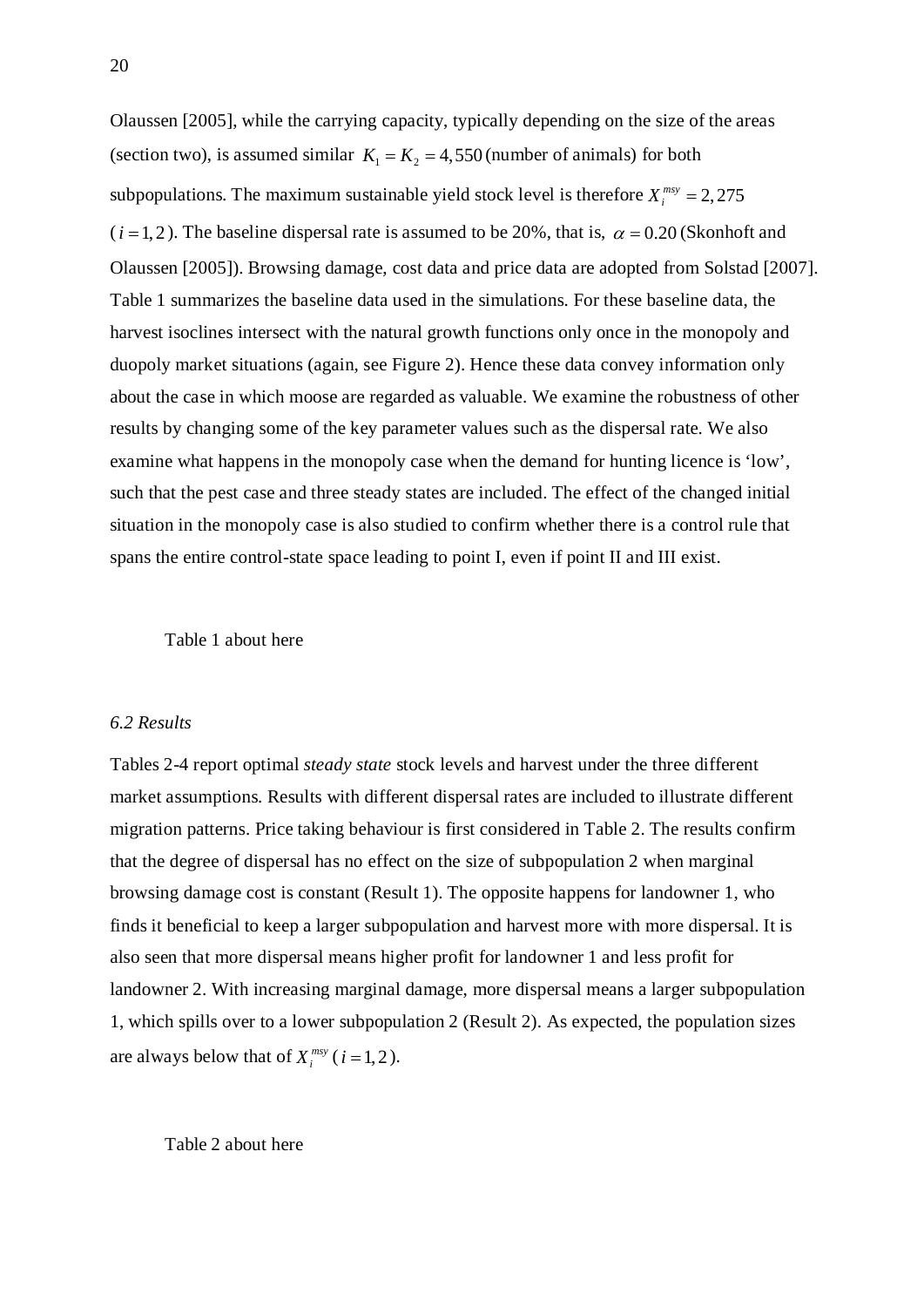Olaussen [2005], while the carrying capacity, typically depending on the size of the areas (section two), is assumed similar  $K_1 = K_2 = 4,550$  (number of animals) for both subpopulations. The maximum sustainable yield stock level is therefore  $X_i^{msy} = 2,275$  $(i = 1, 2)$ . The baseline dispersal rate is assumed to be 20%, that is,  $\alpha = 0.20$  (Skonhoft and Olaussen [2005]). Browsing damage, cost data and price data are adopted from Solstad [2007]. Table 1 summarizes the baseline data used in the simulations. For these baseline data, the harvest isoclines intersect with the natural growth functions only once in the monopoly and duopoly market situations (again, see Figure 2). Hence these data convey information only about the case in which moose are regarded as valuable. We examine the robustness of other results by changing some of the key parameter values such as the dispersal rate. We also examine what happens in the monopoly case when the demand for hunting licence is 'low', such that the pest case and three steady states are included. The effect of the changed initial situation in the monopoly case is also studied to confirm whether there is a control rule that spans the entire control-state space leading to point I, even if point II and III exist.

Table 1 about here

## *6.2 Results*

Tables 2-4 report optimal *steady state* stock levels and harvest under the three different market assumptions. Results with different dispersal rates are included to illustrate different migration patterns. Price taking behaviour is first considered in Table 2. The results confirm that the degree of dispersal has no effect on the size of subpopulation 2 when marginal browsing damage cost is constant (Result 1). The opposite happens for landowner 1, who finds it beneficial to keep a larger subpopulation and harvest more with more dispersal. It is also seen that more dispersal means higher profit for landowner 1 and less profit for landowner 2. With increasing marginal damage, more dispersal means a larger subpopulation 1, which spills over to a lower subpopulation 2 (Result 2). As expected, the population sizes are always below that of  $X_i^{msv}$  ( $i = 1, 2$ ).

Table 2 about here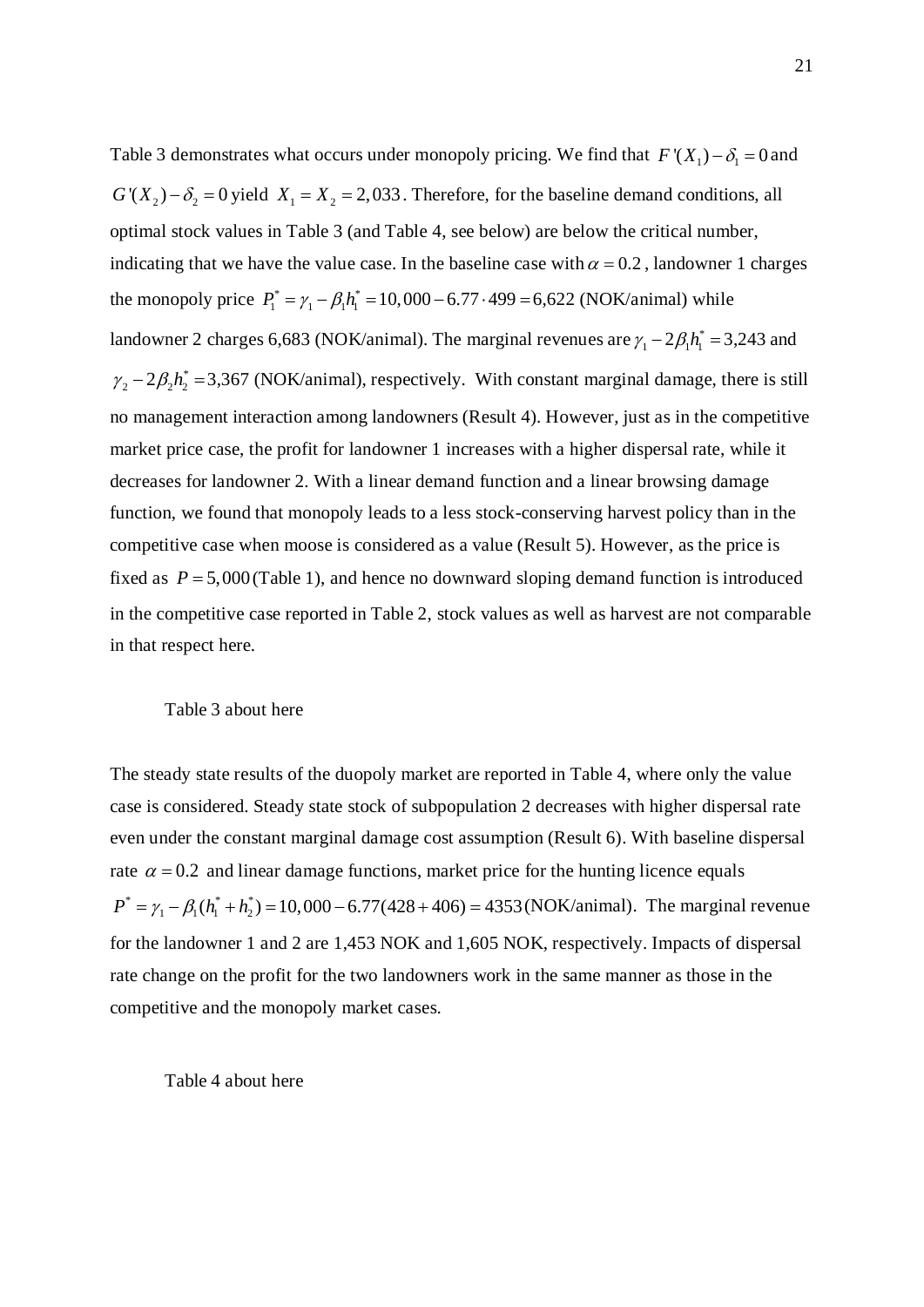Table 3 demonstrates what occurs under monopoly pricing. We find that  $F'(X_1) - \delta_1 = 0$  and  $G'(X_2) - \delta_2 = 0$  yield  $X_1 = X_2 = 2,033$ . Therefore, for the baseline demand conditions, all optimal stock values in Table 3 (and Table 4, see below) are below the critical number, indicating that we have the value case. In the baseline case with  $\alpha = 0.2$ , landowner 1 charges the monopoly price  $P_1^* = \gamma_1 - \beta_1 h_1^* = 10,000 - 6.77 \cdot 499 = 6,622$  (NOK/animal) while landowner 2 charges 6,683 (NOK/animal). The marginal revenues are  $\gamma_1 - 2\beta_1 h_1^* = 3,243$  and  $\gamma_2 - 2\beta_2 h_2^* = 3,367$  (NOK/animal), respectively. With constant marginal damage, there is still no management interaction among landowners (Result 4). However, just as in the competitive market price case, the profit for landowner 1 increases with a higher dispersal rate, while it decreases for landowner 2. With a linear demand function and a linear browsing damage function, we found that monopoly leads to a less stock-conserving harvest policy than in the competitive case when moose is considered as a value (Result 5). However, as the price is fixed as  $P = 5,000$  (Table 1), and hence no downward sloping demand function is introduced in the competitive case reported in Table 2, stock values as well as harvest are not comparable in that respect here.

## Table 3 about here

The steady state results of the duopoly market are reported in Table 4, where only the value case is considered. Steady state stock of subpopulation 2 decreases with higher dispersal rate even under the constant marginal damage cost assumption (Result 6). With baseline dispersal rate  $\alpha = 0.2$  and linear damage functions, market price for the hunting licence equals  $P^* = \gamma_1 - \beta_1(h_1^* + h_2^*) = 10,000 - 6.77(428 + 406) = 4353 (NOK/animal)$ . The marginal revenue for the landowner 1 and 2 are 1,453 NOK and 1,605 NOK, respectively. Impacts of dispersal rate change on the profit for the two landowners work in the same manner as those in the competitive and the monopoly market cases.

## Table 4 about here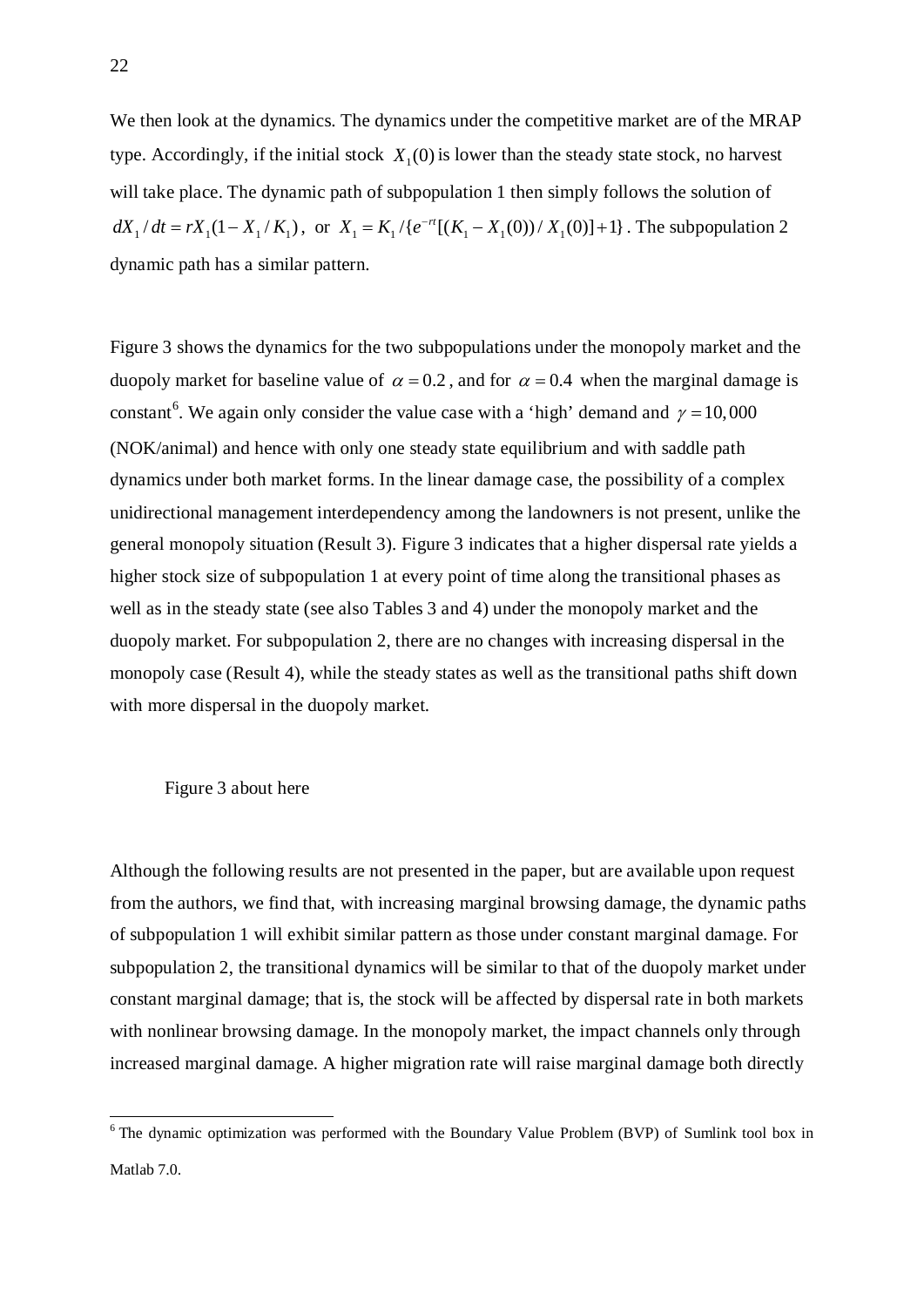We then look at the dynamics. The dynamics under the competitive market are of the MRAP type. Accordingly, if the initial stock  $X_1(0)$  is lower than the steady state stock, no harvest will take place. The dynamic path of subpopulation 1 then simply follows the solution of  $dX_1/dt = rX_1(1 - X_1/K_1)$ , or  $X_1 = K_1/(e^{-rt}[(K_1 - X_1(0))/X_1(0)] + 1)$ . The subpopulation 2 dynamic path has a similar pattern.

Figure 3 shows the dynamics for the two subpopulations under the monopoly market and the duopoly market for baseline value of  $\alpha = 0.2$ , and for  $\alpha = 0.4$  when the marginal damage is constant<sup>[6](#page-22-0)</sup>. We again only consider the value case with a 'high' demand and  $\gamma = 10,000$ (NOK/animal) and hence with only one steady state equilibrium and with saddle path dynamics under both market forms. In the linear damage case, the possibility of a complex unidirectional management interdependency among the landowners is not present, unlike the general monopoly situation (Result 3). Figure 3 indicates that a higher dispersal rate yields a higher stock size of subpopulation 1 at every point of time along the transitional phases as well as in the steady state (see also Tables 3 and 4) under the monopoly market and the duopoly market. For subpopulation 2, there are no changes with increasing dispersal in the monopoly case (Result 4), while the steady states as well as the transitional paths shift down with more dispersal in the duopoly market.

## Figure 3 about here

Although the following results are not presented in the paper, but are available upon request from the authors, we find that, with increasing marginal browsing damage, the dynamic paths of subpopulation 1 will exhibit similar pattern as those under constant marginal damage. For subpopulation 2, the transitional dynamics will be similar to that of the duopoly market under constant marginal damage; that is, the stock will be affected by dispersal rate in both markets with nonlinear browsing damage. In the monopoly market, the impact channels only through increased marginal damage. A higher migration rate will raise marginal damage both directly

<span id="page-22-0"></span><sup>&</sup>lt;sup>6</sup> The dynamic optimization was performed with the Boundary Value Problem (BVP) of Sumlink tool box in Matlab 7.0.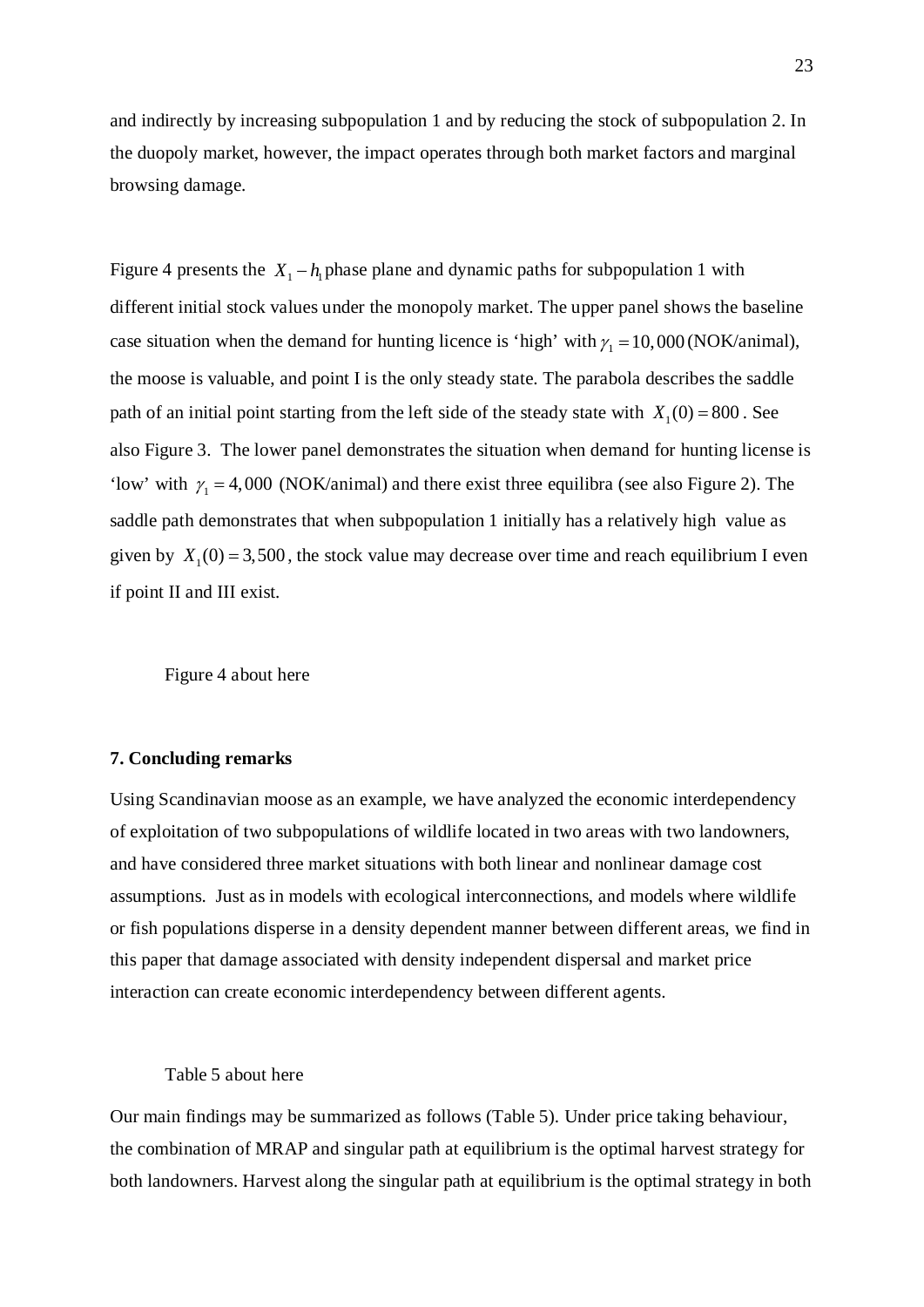and indirectly by increasing subpopulation 1 and by reducing the stock of subpopulation 2. In the duopoly market, however, the impact operates through both market factors and marginal browsing damage.

Figure 4 presents the  $X_1 - h_1$  phase plane and dynamic paths for subpopulation 1 with different initial stock values under the monopoly market. The upper panel shows the baseline case situation when the demand for hunting licence is 'high' with  $\gamma_1 = 10,000$  (NOK/animal), the moose is valuable, and point I is the only steady state. The parabola describes the saddle path of an initial point starting from the left side of the steady state with  $X_1(0) = 800$ . See also Figure 3. The lower panel demonstrates the situation when demand for hunting license is 'low' with  $\gamma_1 = 4,000$  (NOK/animal) and there exist three equilibra (see also Figure 2). The saddle path demonstrates that when subpopulation 1 initially has a relatively high value as given by  $X_1(0) = 3,500$ , the stock value may decrease over time and reach equilibrium I even if point II and III exist.

Figure 4 about here

## **7. Concluding remarks**

Using Scandinavian moose as an example, we have analyzed the economic interdependency of exploitation of two subpopulations of wildlife located in two areas with two landowners, and have considered three market situations with both linear and nonlinear damage cost assumptions. Just as in models with ecological interconnections, and models where wildlife or fish populations disperse in a density dependent manner between different areas, we find in this paper that damage associated with density independent dispersal and market price interaction can create economic interdependency between different agents.

### Table 5 about here

Our main findings may be summarized as follows (Table 5). Under price taking behaviour, the combination of MRAP and singular path at equilibrium is the optimal harvest strategy for both landowners. Harvest along the singular path at equilibrium is the optimal strategy in both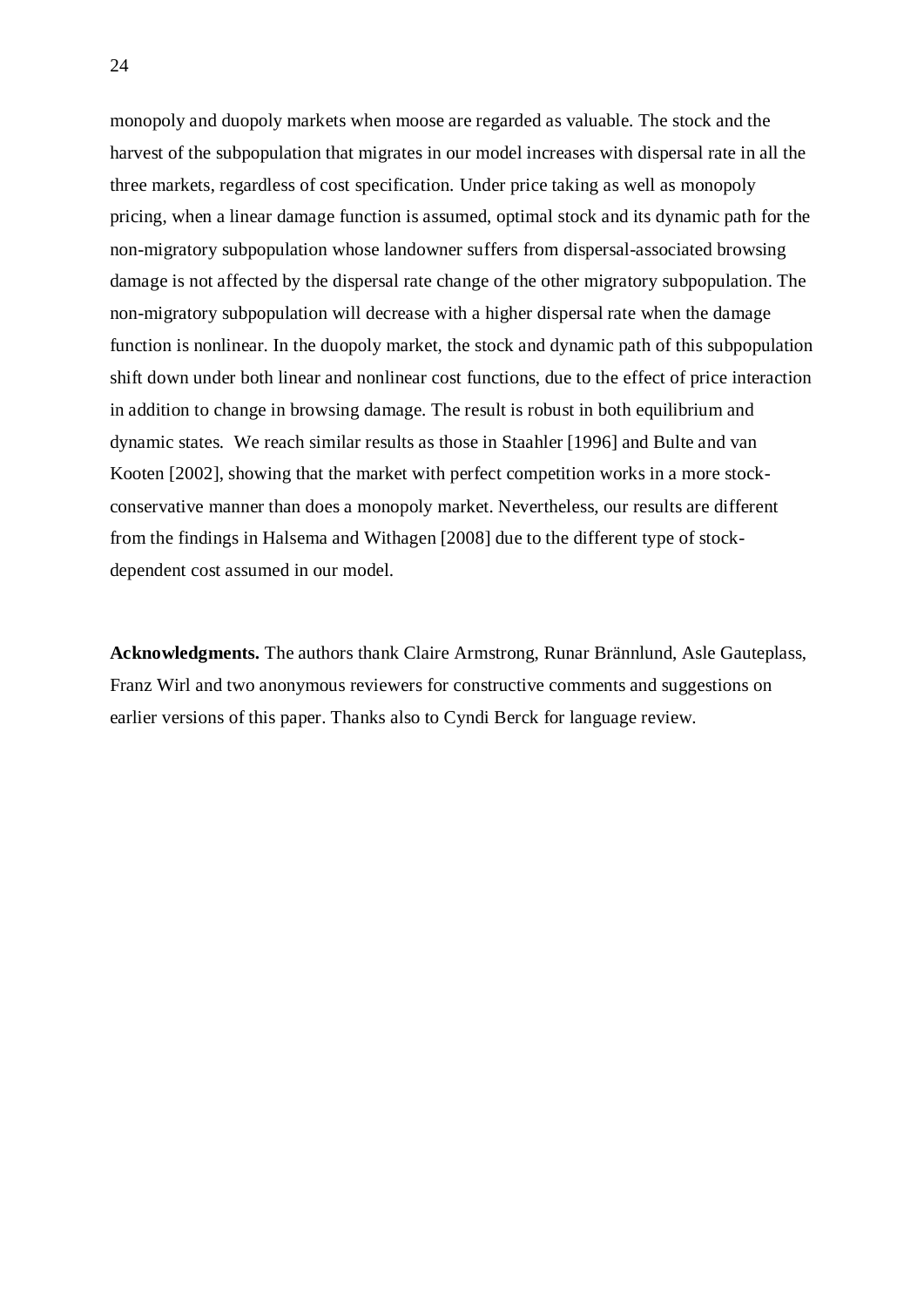monopoly and duopoly markets when moose are regarded as valuable. The stock and the harvest of the subpopulation that migrates in our model increases with dispersal rate in all the three markets, regardless of cost specification. Under price taking as well as monopoly pricing, when a linear damage function is assumed, optimal stock and its dynamic path for the non-migratory subpopulation whose landowner suffers from dispersal-associated browsing damage is not affected by the dispersal rate change of the other migratory subpopulation. The non-migratory subpopulation will decrease with a higher dispersal rate when the damage function is nonlinear. In the duopoly market, the stock and dynamic path of this subpopulation shift down under both linear and nonlinear cost functions, due to the effect of price interaction in addition to change in browsing damage. The result is robust in both equilibrium and dynamic states. We reach similar results as those in Staahler [1996] and Bulte and van Kooten [2002], showing that the market with perfect competition works in a more stockconservative manner than does a monopoly market. Nevertheless, our results are different from the findings in Halsema and Withagen [2008] due to the different type of stockdependent cost assumed in our model.

**Acknowledgments.** The authors thank Claire Armstrong, Runar Brännlund, Asle Gauteplass, Franz Wirl and two anonymous reviewers for constructive comments and suggestions on earlier versions of this paper. Thanks also to Cyndi Berck for language review.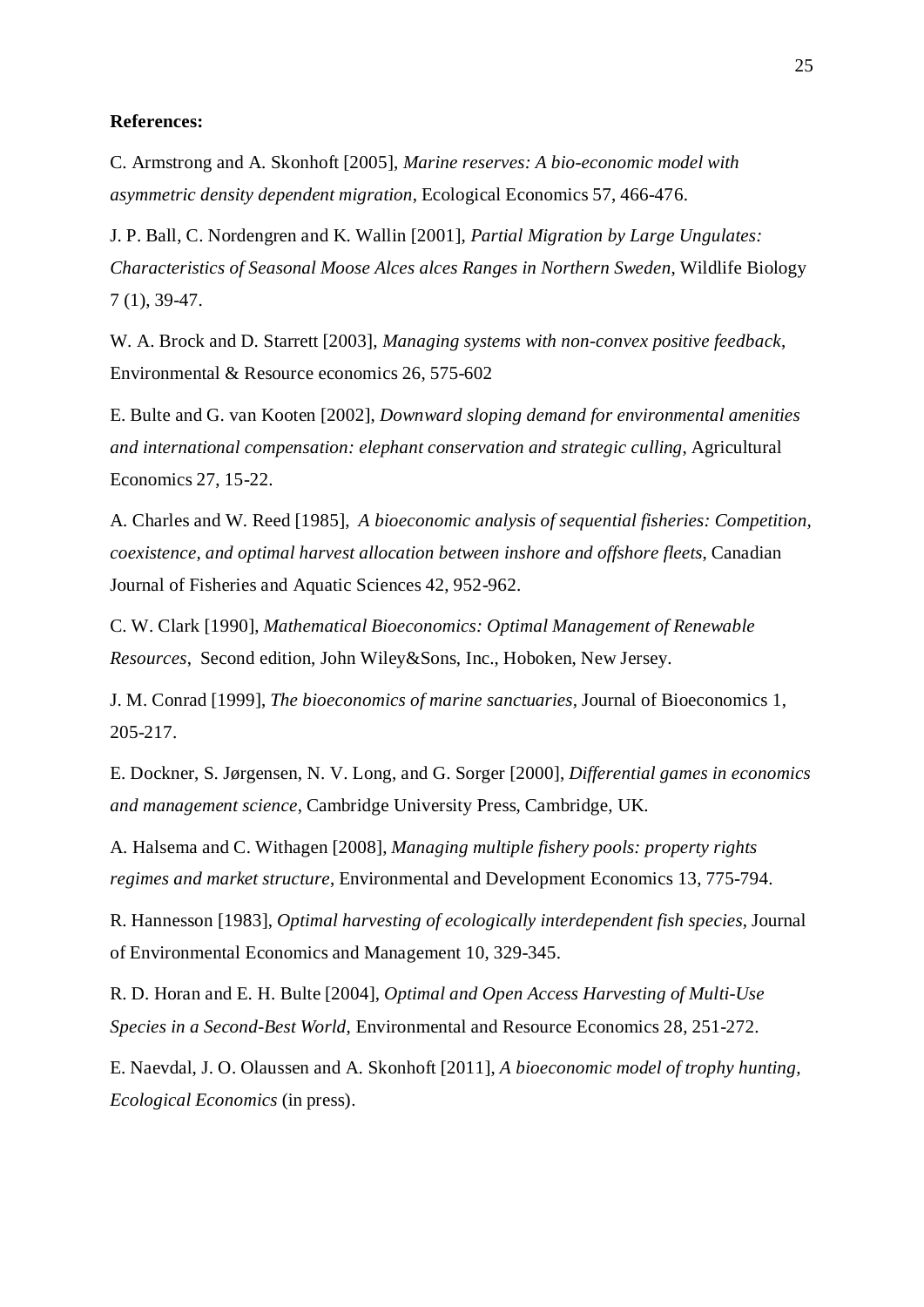## **References:**

C. Armstrong and A. Skonhoft [2005], *Marine reserves: A bio-economic model with asymmetric density dependent migration*, Ecological Economics 57, 466-476.

J. P. Ball, C. Nordengren and K. Wallin [2001], *Partial Migration by Large Ungulates: Characteristics of Seasonal Moose Alces alces Ranges in Northern Sweden*, Wildlife Biology 7 (1), 39-47.

W. A. Brock and D. Starrett [2003], *Managing systems with non-convex positive feedback*, Environmental & Resource economics 26, 575-602

E. Bulte and G. van Kooten [2002], *Downward sloping demand for environmental amenities and international compensation: elephant conservation and strategic culling*, Agricultural Economics 27, 15-22.

A. Charles and W. Reed [1985], *A bioeconomic analysis of sequential fisheries: Competition, coexistence, and optimal harvest allocation between inshore and offshore fleets*, Canadian Journal of Fisheries and Aquatic Sciences 42, 952-962.

C. W. Clark [1990], *Mathematical Bioeconomics: Optimal Management of Renewable Resources*, Second edition, John Wiley&Sons, Inc., Hoboken, New Jersey.

J. M. Conrad [1999], *The bioeconomics of marine sanctuaries,* Journal of Bioeconomics 1, 205-217.

E. Dockner, S. Jørgensen, N. V. Long, and G. Sorger [2000], *Differential games in economics and management science*, Cambridge University Press, Cambridge, UK.

A. Halsema and C. Withagen [2008], *Managing multiple fishery pools: property rights regimes and market structure*, Environmental and Development Economics 13, 775-794.

R. Hannesson [1983], *Optimal harvesting of ecologically interdependent fish species*, Journal of Environmental Economics and Management 10, 329-345.

R. D. Horan and E. H. Bulte [2004], *Optimal and Open Access Harvesting of Multi-Use Species in a Second-Best World*, Environmental and Resource Economics 28, 251-272.

E. Naevdal, J. O. Olaussen and A. Skonhoft [2011], *A bioeconomic model of trophy hunting, Ecological Economics* (in press).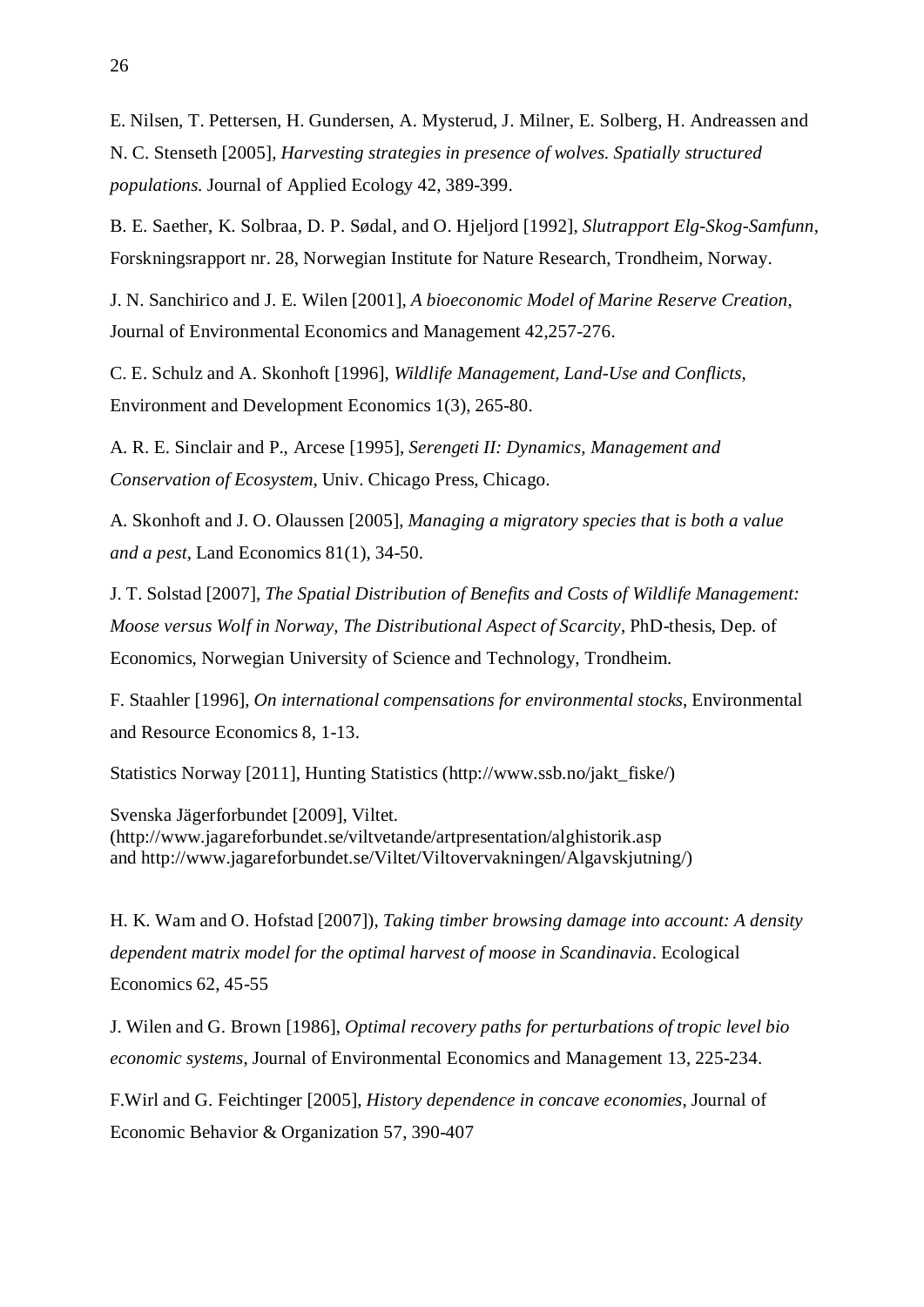E. Nilsen, T. Pettersen, H. Gundersen, A. Mysterud, J. Milner, E. Solberg, H. Andreassen and N. C. Stenseth [2005], *Harvesting strategies in presence of wolves. Spatially structured populations.* Journal of Applied Ecology 42, 389-399.

B. E. Saether, K. Solbraa, D. P. Sødal, and O. Hjeljord [1992], *Slutrapport Elg-Skog-Samfunn*, Forskningsrapport nr. 28, Norwegian Institute for Nature Research, Trondheim, Norway.

J. N. Sanchirico and J. E. Wilen [2001], *A bioeconomic Model of Marine Reserve Creation*, Journal of Environmental Economics and Management 42,257-276.

C. E. Schulz and A. Skonhoft [1996], *Wildlife Management, Land-Use and Conflicts*, Environment and Development Economics 1(3), 265-80.

A. R. E. Sinclair and P., Arcese [1995], *Serengeti II: Dynamics, Management and Conservation of Ecosystem*, Univ. Chicago Press, Chicago.

A. Skonhoft and J. O. Olaussen [2005], *Managing a migratory species that is both a value and a pest*, Land Economics 81(1), 34-50.

J. T. Solstad [2007], *The Spatial Distribution of Benefits and Costs of Wildlife Management: Moose versus Wolf in Norway*, *The Distributional Aspect of Scarcity*, PhD-thesis, Dep. of Economics, Norwegian University of Science and Technology, Trondheim.

F. Staahler [1996], *On international compensations for environmental stocks*, Environmental and Resource Economics 8, 1-13.

Statistics Norway [2011], Hunting Statistics (http://www.ssb.no/jakt\_fiske/)

Svenska Jägerforbundet [2009], Viltet. (http://www.jagareforbundet.se/viltvetande/artpresentation/alghistorik.asp and http://www.jagareforbundet.se/Viltet/Viltovervakningen/Algavskjutning/)

H. K. Wam and O. Hofstad [2007]), *Taking timber browsing damage into account: A density dependent matrix model for the optimal harvest of moose in Scandinavia*. Ecological Economics 62, 45-55

J. Wilen and G. Brown [1986], *Optimal recovery paths for perturbations of tropic level bio economic systems*, Journal of Environmental Economics and Management 13, 225-234.

F.Wirl and G. Feichtinger [2005], *History dependence in concave economies*, Journal of Economic Behavior & Organization 57, 390-407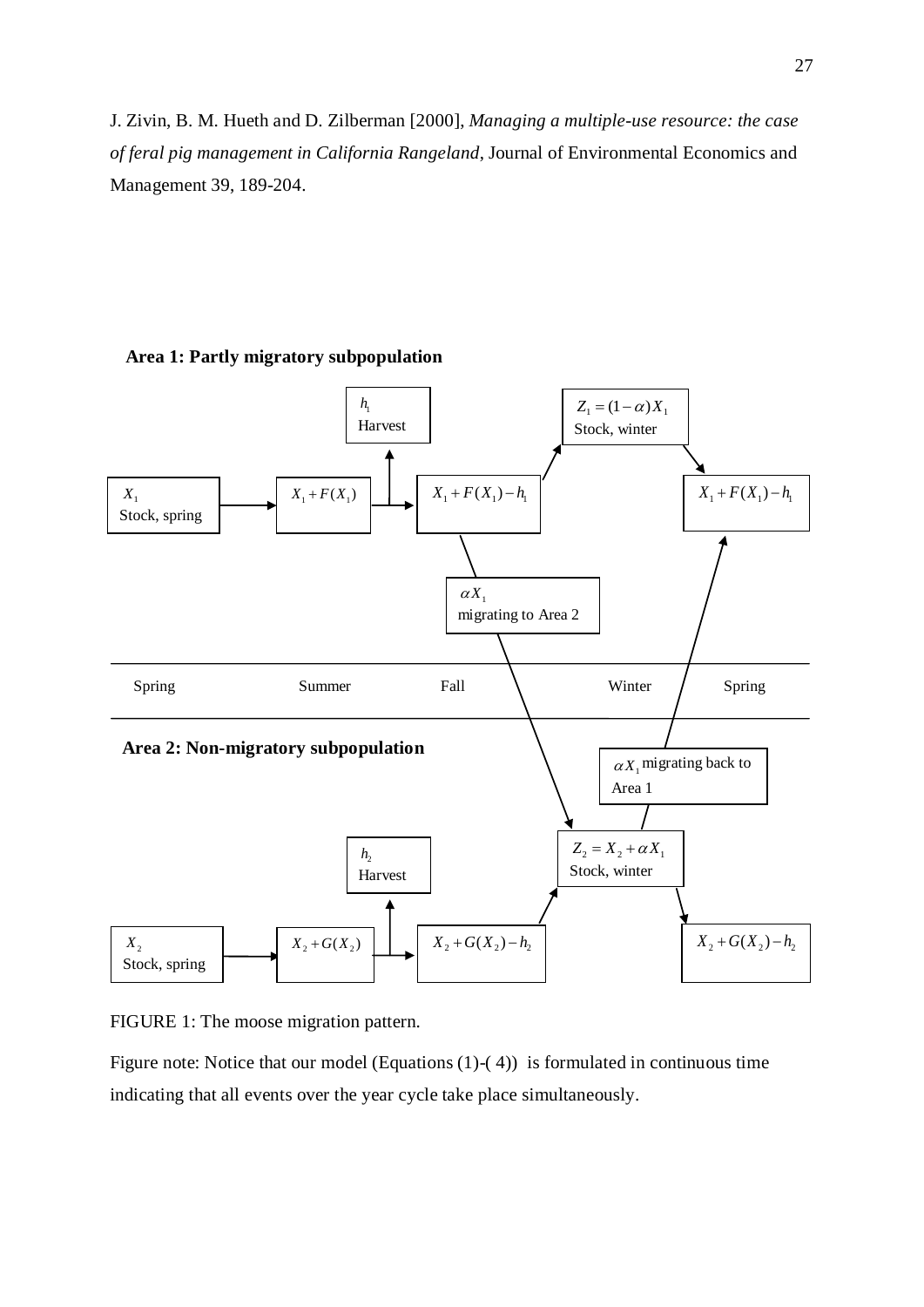J. Zivin, B. M. Hueth and D. Zilberman [2000], *Managing a multiple-use resource: the case of feral pig management in California Rangeland*, Journal of Environmental Economics and Management 39, 189-204.



**Area 1: Partly migratory subpopulation**

FIGURE 1: The moose migration pattern.

Figure note: Notice that our model (Equations (1)-(4)) is formulated in continuous time indicating that all events over the year cycle take place simultaneously.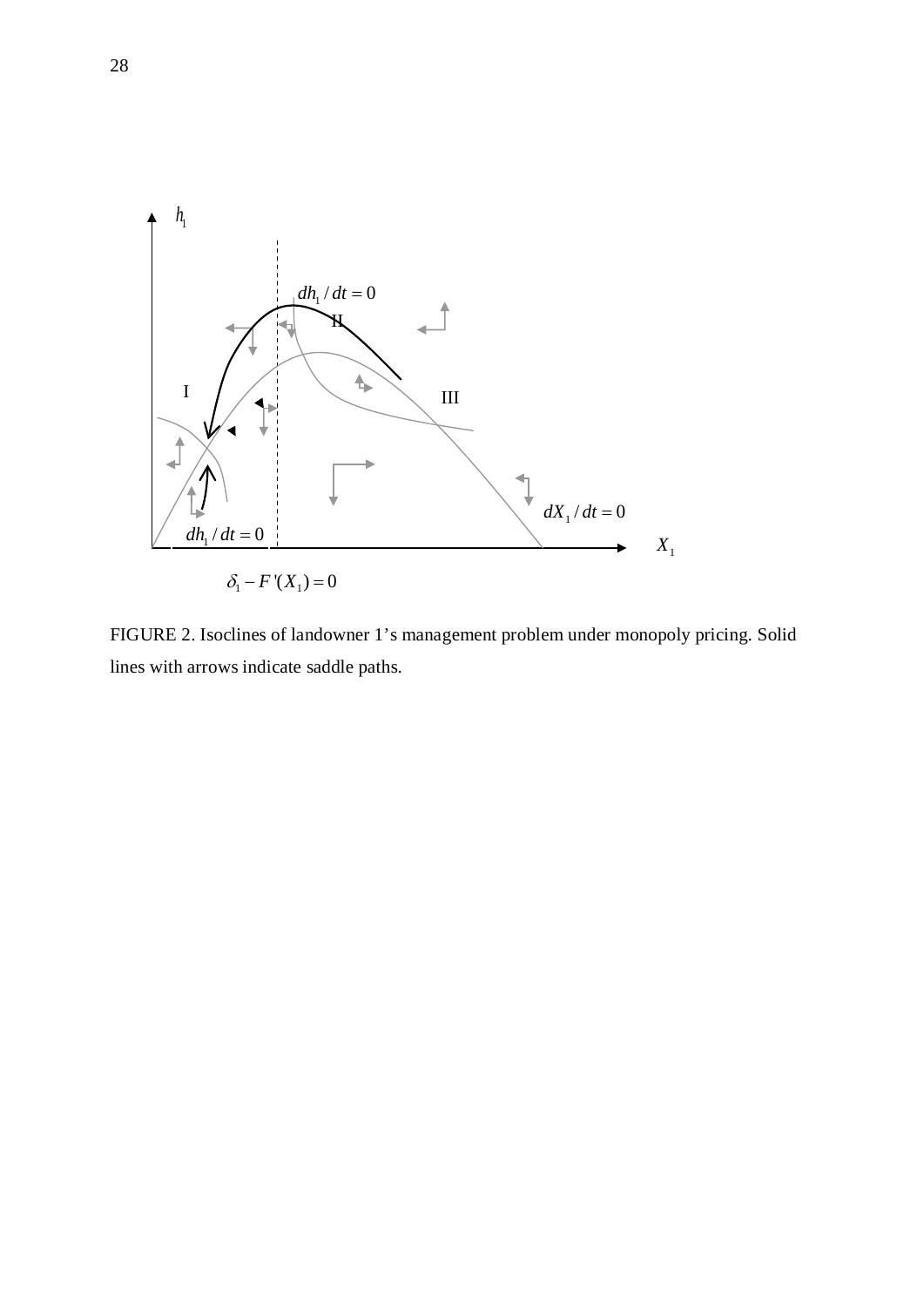

FIGURE 2. Isoclines of landowner 1's management problem under monopoly pricing. Solid lines with arrows indicate saddle paths.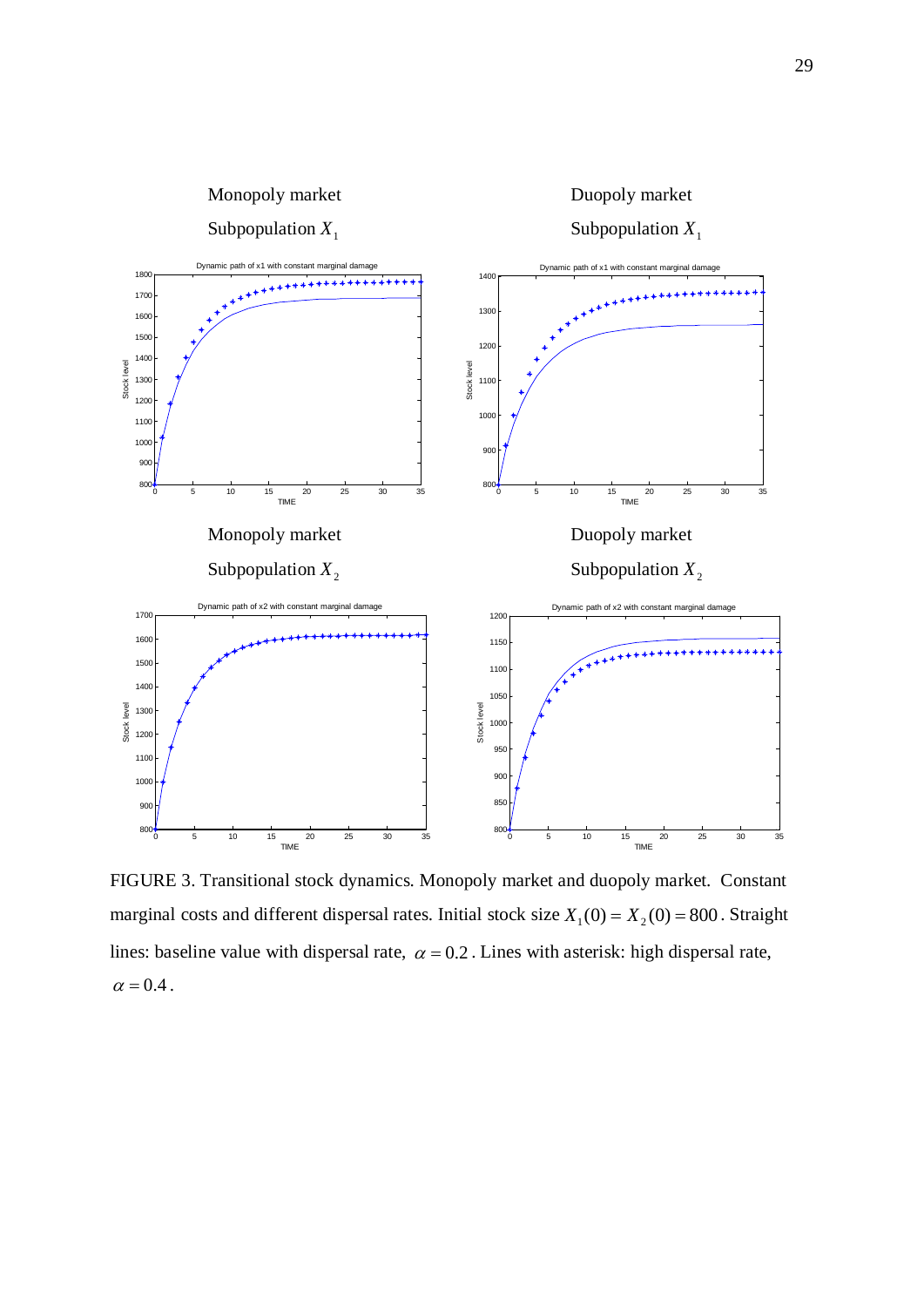

FIGURE 3. Transitional stock dynamics. Monopoly market and duopoly market. Constant marginal costs and different dispersal rates. Initial stock size  $X_1(0) = X_2(0) = 800$ . Straight lines: baseline value with dispersal rate,  $\alpha = 0.2$ . Lines with asterisk: high dispersal rate,  $\alpha = 0.4$ .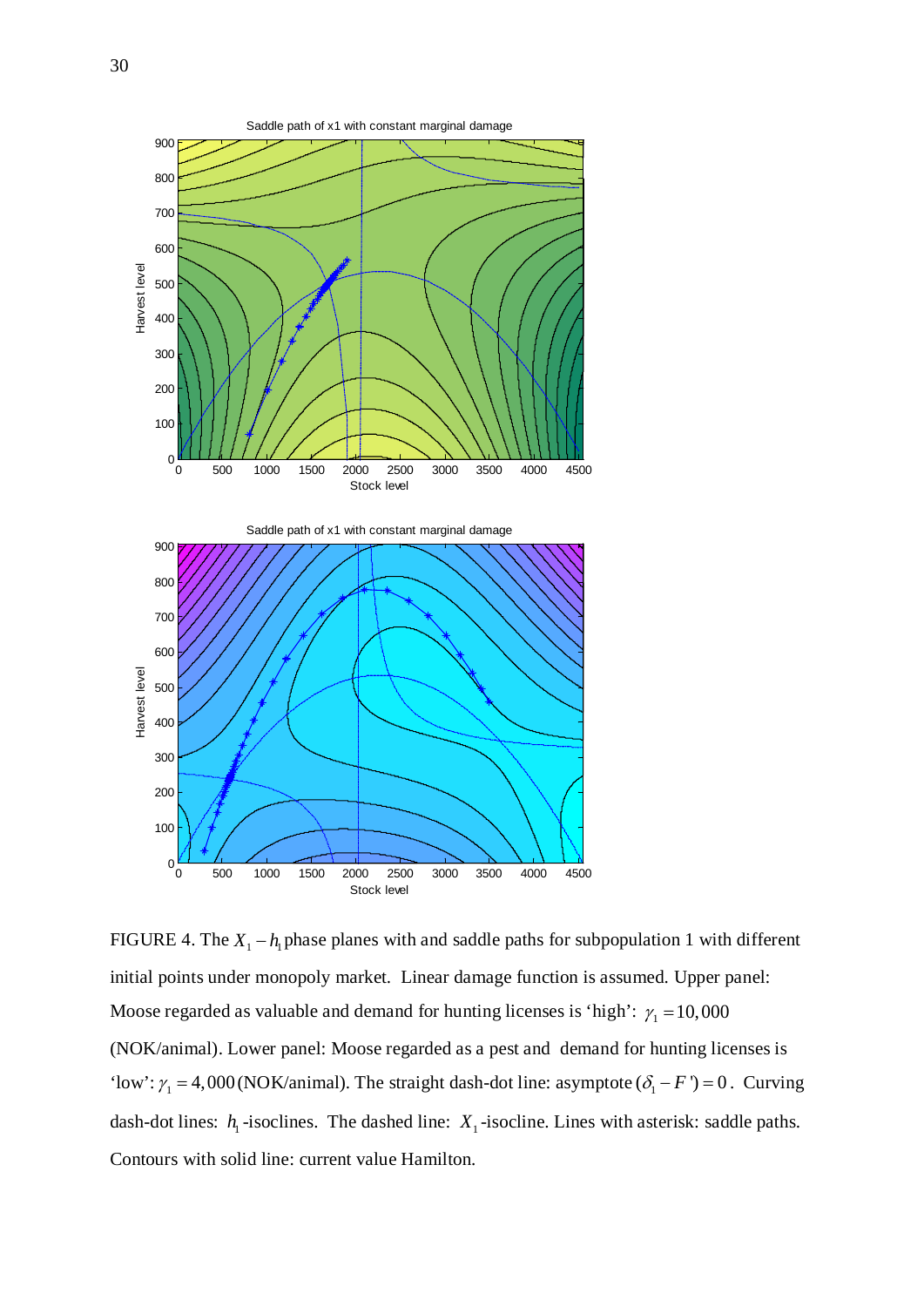

FIGURE 4. The  $X_1 - h_1$  phase planes with and saddle paths for subpopulation 1 with different initial points under monopoly market. Linear damage function is assumed. Upper panel: Moose regarded as valuable and demand for hunting licenses is 'high':  $\gamma_1 = 10,000$ (NOK/animal). Lower panel: Moose regarded as a pest and demand for hunting licenses is 'low':  $\gamma_1 = 4,000$  (NOK/animal). The straight dash-dot line: asymptote  $(\delta_1 - F') = 0$ . Curving dash-dot lines:  $h_1$ -isoclines. The dashed line:  $X_1$ -isocline. Lines with asterisk: saddle paths. Contours with solid line: current value Hamilton.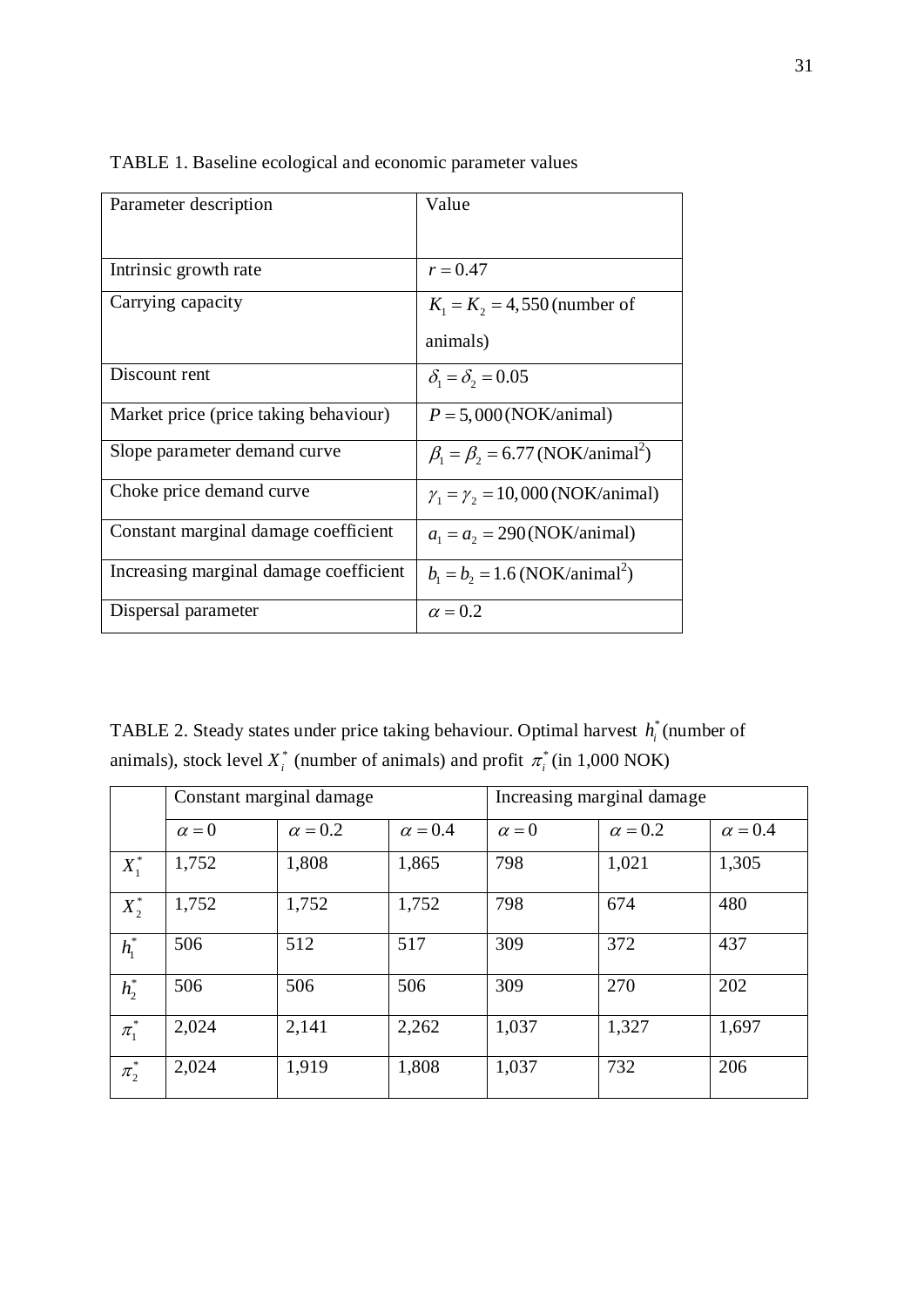| Parameter description                  | Value                                                                    |
|----------------------------------------|--------------------------------------------------------------------------|
|                                        |                                                                          |
| Intrinsic growth rate                  | $r = 0.47$                                                               |
| Carrying capacity                      | $K_1 = K_2 = 4,550$ (number of                                           |
|                                        | animals)                                                                 |
| Discount rent                          | $\delta_{\scriptscriptstyle{1}} = \delta_{\scriptscriptstyle{2}} = 0.05$ |
| Market price (price taking behaviour)  | $P = 5,000(NOK/animal)$                                                  |
| Slope parameter demand curve           | $\beta_1 = \beta_2 = 6.77$ (NOK/animal <sup>2</sup> )                    |
| Choke price demand curve               | $\gamma_1 = \gamma_2 = 10,000 (NOK/animal)$                              |
| Constant marginal damage coefficient   | $a_1 = a_2 = 290$ (NOK/animal)                                           |
| Increasing marginal damage coefficient | $b_1 = b_2 = 1.6$ (NOK/animal <sup>2</sup> )                             |
| Dispersal parameter                    | $\alpha = 0.2$                                                           |

TABLE 1. Baseline ecological and economic parameter values

TABLE 2. Steady states under price taking behaviour. Optimal harvest  $h_i^*$  (number of animals), stock level  $X_i^*$  (number of animals) and profit  $\pi_i^*$  (in 1,000 NOK)

|                     | Constant marginal damage |                |                | Increasing marginal damage |                |                |
|---------------------|--------------------------|----------------|----------------|----------------------------|----------------|----------------|
|                     | $\alpha = 0$             | $\alpha = 0.2$ | $\alpha = 0.4$ | $\alpha = 0$               | $\alpha = 0.2$ | $\alpha = 0.4$ |
| $X_1^*$             | 1,752                    | 1,808          | 1,865          | 798                        | 1,021          | 1,305          |
| $X_2^*$             | 1,752                    | 1,752          | 1,752          | 798                        | 674            | 480            |
| $h_1^*$             | 506                      | 512            | 517            | 309                        | 372            | 437            |
| $h_2^*$             | 506                      | 506            | 506            | 309                        | 270            | 202            |
| $\pi_1^*$           | 2,024                    | 2,141          | 2,262          | 1,037                      | 1,327          | 1,697          |
| $\ast$<br>$\pi_{2}$ | 2,024                    | 1,919          | 1,808          | 1,037                      | 732            | 206            |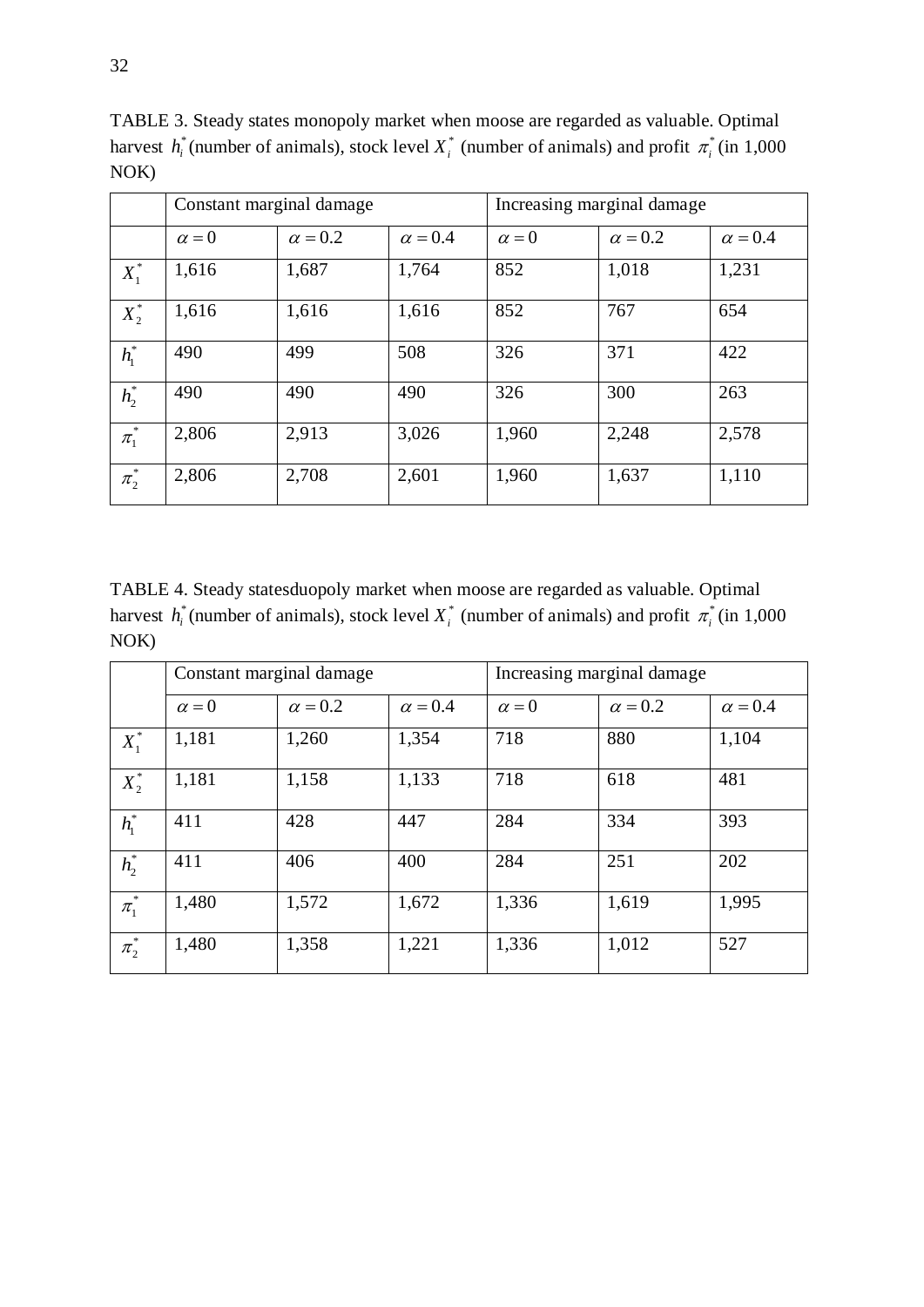|                     | Constant marginal damage |                |                | Increasing marginal damage |                |                |
|---------------------|--------------------------|----------------|----------------|----------------------------|----------------|----------------|
|                     | $\alpha = 0$             | $\alpha = 0.2$ | $\alpha = 0.4$ | $\alpha = 0$               | $\alpha = 0.2$ | $\alpha = 0.4$ |
| $X_1^*$             | 1,616                    | 1,687          | 1,764          | 852                        | 1,018          | 1,231          |
| $X_2^*$             | 1,616                    | 1,616          | 1,616          | 852                        | 767            | 654            |
| $h_1^*$             | 490                      | 499            | 508            | 326                        | 371            | 422            |
| $h_2^*$             | 490                      | 490            | 490            | 326                        | 300            | 263            |
| $\ast$<br>$\pi_{1}$ | 2,806                    | 2,913          | 3,026          | 1,960                      | 2,248          | 2,578          |
| $\ast$<br>$\pi_{2}$ | 2,806                    | 2,708          | 2,601          | 1,960                      | 1,637          | 1,110          |

TABLE 3. Steady states monopoly market when moose are regarded as valuable. Optimal harvest  $h_i^*$  (number of animals), stock level  $X_i^*$  (number of animals) and profit  $\pi_i^*$  (in 1,000 NOK)

TABLE 4. Steady statesduopoly market when moose are regarded as valuable. Optimal harvest  $h_i^*$  (number of animals), stock level  $X_i^*$  (number of animals) and profit  $\pi_i^*$  (in 1,000 NOK)

|           | Constant marginal damage |                |                | Increasing marginal damage |                |                |
|-----------|--------------------------|----------------|----------------|----------------------------|----------------|----------------|
|           | $\alpha = 0$             | $\alpha = 0.2$ | $\alpha = 0.4$ | $\alpha = 0$               | $\alpha = 0.2$ | $\alpha = 0.4$ |
| $X_1^*$   | 1,181                    | 1,260          | 1,354          | 718                        | 880            | 1,104          |
| $X_2^*$   | 1,181                    | 1,158          | 1,133          | 718                        | 618            | 481            |
| $h_1^*$   | 411                      | 428            | 447            | 284                        | 334            | 393            |
| $h_2^*$   | 411                      | 406            | 400            | 284                        | 251            | 202            |
| $\pi_1^*$ | 1,480                    | 1,572          | 1,672          | 1,336                      | 1,619          | 1,995          |
| $\pi_2^*$ | 1,480                    | 1,358          | 1,221          | 1,336                      | 1,012          | 527            |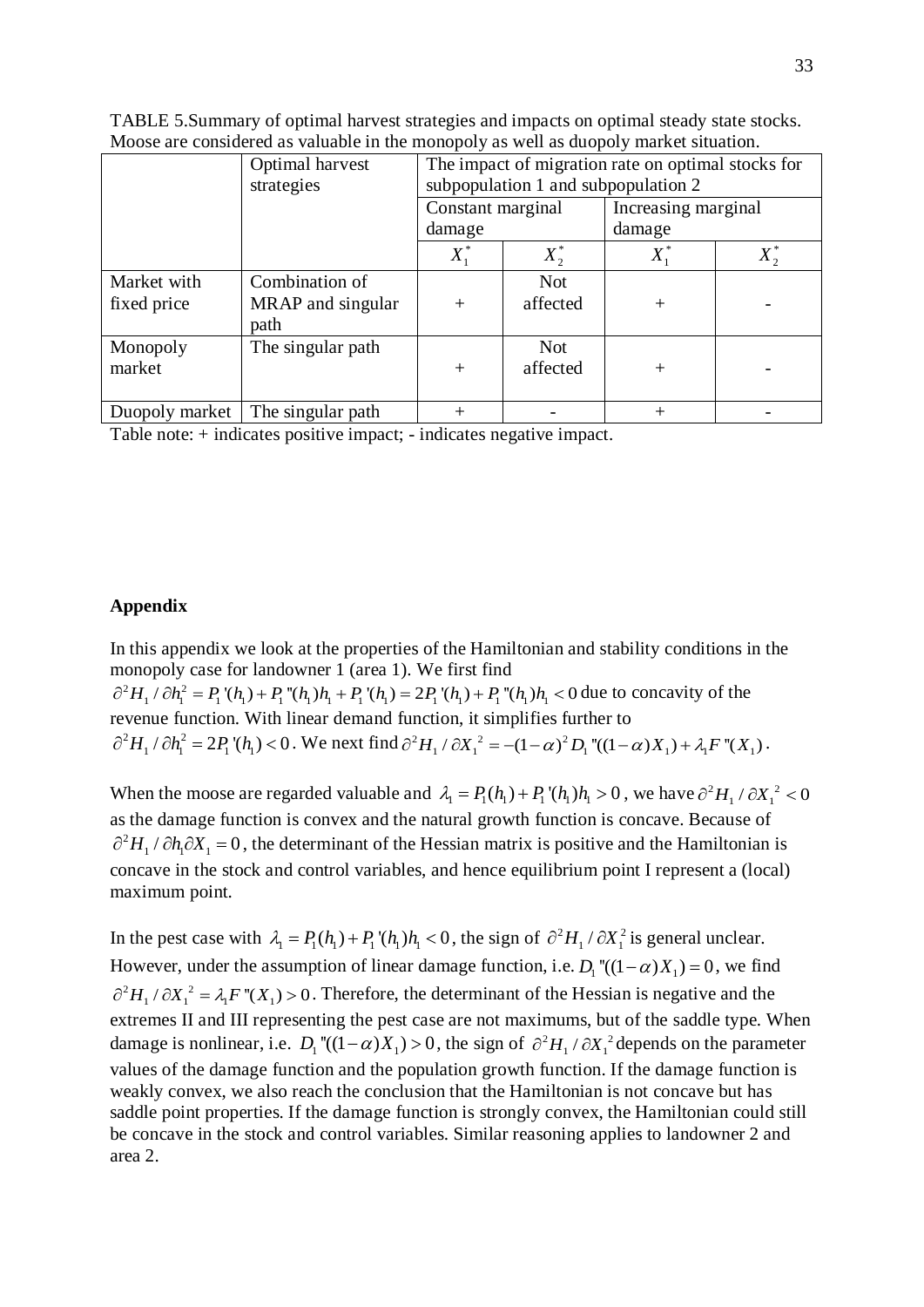|                | Optimal harvest<br>strategies | The impact of migration rate on optimal stocks for |            |                     |  |
|----------------|-------------------------------|----------------------------------------------------|------------|---------------------|--|
|                |                               | subpopulation 1 and subpopulation 2                |            |                     |  |
|                |                               | Constant marginal                                  |            | Increasing marginal |  |
|                |                               | damage                                             |            | damage              |  |
|                |                               | $X_1^*$                                            | $X_2^*$    | $X_1^*$             |  |
| Market with    | Combination of                |                                                    | <b>Not</b> |                     |  |
| fixed price    | MRAP and singular             | $^{+}$                                             | affected   | $\, + \,$           |  |
|                | path                          |                                                    |            |                     |  |
| Monopoly       | The singular path             |                                                    | <b>Not</b> |                     |  |
| market         |                               | $^{+}$                                             | affected   | $\pm$               |  |
|                |                               |                                                    |            |                     |  |
| Duopoly market | The singular path             |                                                    |            | $\pm$               |  |

TABLE 5.Summary of optimal harvest strategies and impacts on optimal steady state stocks. Moose are considered as valuable in the monopoly as well as duopoly market situation.

Table note: + indicates positive impact; - indicates negative impact.

## **Appendix**

In this appendix we look at the properties of the Hamiltonian and stability conditions in the monopoly case for landowner 1 (area 1). We first find  $\partial^2 H_1 / \partial h_1^2 = P_1'(h_1) + P_1''(h_1)h_1 + P_1'(h_1) = 2P_1'(h_1) + P_1''(h_1)h_1 < 0$  due to concavity of the revenue function. With linear demand function, it simplifies further to  $\partial^2 H_1 / \partial h_1^2 = 2P_1'(h_1) < 0$ . We next find  $\partial^2 H_1 / \partial X_1^2 = -(1 - \alpha)^2 D_1''((1 - \alpha)X_1) + \lambda_1 F''(X_1)$ .

When the moose are regarded valuable and  $\lambda_1 = P_1(h_1) + P_1(h_1)h_1 > 0$ , we have  $\partial^2 H_1 / \partial X_1^2 < 0$ as the damage function is convex and the natural growth function is concave. Because of  $\partial^2 H_1 / \partial h_1 \partial X_1 = 0$ , the determinant of the Hessian matrix is positive and the Hamiltonian is concave in the stock and control variables, and hence equilibrium point I represent a (local) maximum point.

In the pest case with  $\lambda_1 = P_1(h_1) + P_1'(h_1)h_1 < 0$ , the sign of  $\partial^2 H_1 / \partial X_1^2$  is general unclear. However, under the assumption of linear damage function, i.e.  $D_1$  " $((1 - \alpha)X_1) = 0$ , we find  $\partial^2 H_1 / \partial X_1^2 = \lambda_1 F''(X_1) > 0$ . Therefore, the determinant of the Hessian is negative and the extremes II and III representing the pest case are not maximums, but of the saddle type. When damage is nonlinear, i.e.  $D_1$  " $((1-\alpha)X_1) > 0$ , the sign of  $\partial^2 H_1 / \partial X_1^2$  depends on the parameter values of the damage function and the population growth function. If the damage function is weakly convex, we also reach the conclusion that the Hamiltonian is not concave but has saddle point properties. If the damage function is strongly convex, the Hamiltonian could still be concave in the stock and control variables. Similar reasoning applies to landowner 2 and area 2.